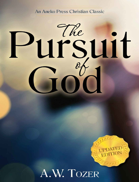### An Aneko Press Christian Classic

# lirsuit



A.W. TOZER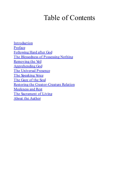# Table of Contents

**Introduction** Preface Following Hard after God The Blessedness of Possessing Nothing Removing the Veil Apprehending God The Universal Presence The Speaking Voice The Gaze of the Soul Restoring the Creator-Creature Relation Meekness and Rest The Sacrament of Living About the Author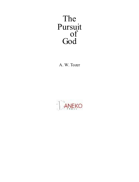### The Pursuit of God

A. W. Tozer

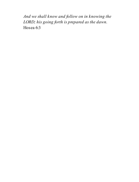*And we shall know and follow on in knowing the LORD; his going forth is prepared as the dawn.* Hosea 6:3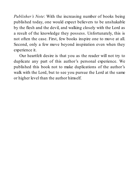*Publisher's Note*: With the increasing number of books being published today, one would expect believers to be unshakable by the flesh and the devil, and walking closely with the Lord as a result of the knowledge they possess. Unfortunately, this is not often the case. First, few books inspire one to move at all. Second, only a few move beyond inspiration even when they experience it.

Our heartfelt desire is that you as the reader will not try to duplicate any part of this author's personal experience. We published this book not to make duplications of the author's walk with the Lord, but to see you pursue the Lord at the same or higher level than the author himself.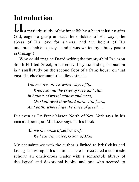## **Introduction**

**H** a masterly study of the inner life by a heart thirsting after God, eager to grasp at least the outskirts of His ways, the abyss of His love for sinners, and the height of His unapproachable majesty – and it was written by a busy pastor in Chicago!

Who could imagine David writing the twenty-third Psalmon South Halsted Street, or a medieval mystic finding inspiration in a small study on the second floor of a frame house on that vast, flat checkerboard of endless streets.

> *Where cross the crowded ways of life Where sound the cries ofrace and clan, In haunts of wretchedness and need, On shadowed threshold dark with fears, And paths where hide the lures of greed . . .*

But even as Dr. Frank Mason North of New York says in his immortal poem, so Mr. Tozer says in this book:

> *Above the noise ofselfish strife We hear Thy voice, O Son of Man.*

My acquaintance with the author is limited to brief visits and loving fellowship in his church. There I discovered a self-made scholar, an omnivorous reader with a remarkable library of theological and devotional books, and one who seemed to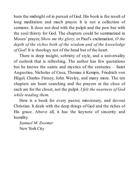burn the midnight oil in pursuit of God. His book is the result of long meditation and much prayer. It is not a collection of sermons. It does not deal with the pulpit and the pew but with the soul thirsty for God. The chapters could be summarized in Moses' prayer, *Show me thy glory*, or Paul's exclamation, *O the depth of the riches both of the wisdom and of the knowledge of God!* It is theology not of the head but of the heart.

There is deep insight, sobriety of style, and a universality of outlook that is refreshing. The author has few quotations but he knows the saints and mystics of the centuries – Saint Augustine, Nicholas of Cusa, Thomas à Kempis, Friedrich von Hügel, Charles Finney, John Wesley, and many more. The ten chapters are heart searching and the prayers at the close of each are for the closet, not the pulpit. *I felt the nearness of God while reading them.*

Here is a book for every pastor, missionary, and devout Christian. It deals with the deep things of God and the riches of His grace. Above all, it has the keynote of sincerity and humility.

*Samuel M. Zwemer* New York City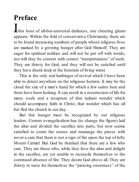# **Preface**

**n** this hour of all-but-universal darkness, one cheering gleam appears: Within the fold of conservative Christianity, there are to be found increasing numbers of people whose religious lives are marked by a growing hunger after God Himself. They are eager for spiritual realities and will not be put off with words, nor will they be content with correct "interpretations" of truth. They are thirsty for God, and they will not be satisfied until they have drunk deep at the fountain of living water.

This is the only real harbinger of revival which I have been able to detect anywhere on the religious horizon. It may be the cloud the size of a man's hand for which a few saints here and there have been looking. It can result in a resurrection of life for many souls and a recapture of that radiant wonder which should accompany faith in Christ, that wonder which has all but fled the church in our day.

But this hunger must be recognized by our religious leaders. Current evangelicalism has (to change the figure) laid the altar and divided the sacrifice into parts, but now seems satisfied to count the stones and rearrange the pieces with never a care that there is not a sign of fire upon the top of lofty Mount Carmel. But God be thanked that there are a few who care. They are those who, while they love the altar and delight in the sacrifice, are yet unable to reconcile themselves to the continued absence of fire. They desire God above all. They are thirsty to taste for themselves the "piercing sweetness" of the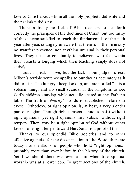love of Christ about whom all the holy prophets did write and the psalmists did sing.

There is today no lack of Bible teachers to set forth correctly the principles of the doctrines of Christ, but too many of these seem satisfied to teach the fundamentals of the faith year after year, strangely unaware that there is in their ministry no manifest presence, nor anything unusual in their personal lives. They minister constantly to believers who feel within their breasts a longing which their teaching simply does not satisfy.

I trust I speak in love, but the lack in our pulpits is real. Milton's terrible sentence applies to our day as accurately as it did to his: "The hungry sheep look up, and are not fed." It is a solemn thing, and no small scandal in the kingdom, to see God's children starving while actually seated at the Father's table. The truth of Wesley's words is established before our eyes: "Orthodoxy, or right opinion, is, at best, a very slender part of religion. Though right tempers cannot subsist without right opinions, yet right opinions may subsist without right tempers. There may be a right opinion of God without either love or one right temper toward Him. Satan is a proof of this."

Thanks to our splendid Bible societies and to other effective agencies for the dissemination of the Word, there are today many millions of people who hold "right opinions," probably more than ever before in the history of the church. Yet I wonder if there was ever a time when true spiritual worship was at a lower ebb. To great sections of the church,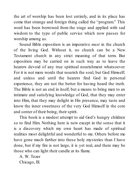the art of worship has been lost entirely, and in its place has come that strange and foreign thing called the "program." This word has been borrowed from the stage and applied with sad wisdom to the type of public service which now passes for worship among us.

Sound Bible exposition is an imperative *must* in the church of the living God. Without it, no church can be a New Testament church in any strict meaning of that term. But exposition may be carried on in such way as to leave the hearers devoid of any true spiritual nourishment whatsoever. For it is not mere words that nourish the soul, but God Himself; and unless and until the hearers find God in personal experience, they are not the better for having heard the truth. The Bible is not an end in itself, but a means to bring men to an intimate and satisfying knowledge of God, that they may enter into Him, that they may delight in His presence, may taste and know the inner sweetness of the very God Himself in the core and center of their being, their spirit.

This book is a modest attempt to aid God's hungry children so to find Him. Nothing here is new except in the sense that it is a discovery which my own heart has made of spiritual realities most delightful and wonderful to me. Others before me have gone much farther into these holy mysteries than I have done, but if my fire is not large, it is yet real, and there may be those who can light their candle at its flame.

A. W. Tozer Chicago, Ill.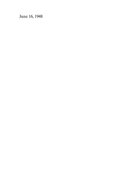June 16, 1948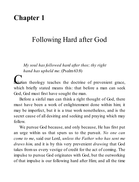### **Chapter 1**

### Following Hard after God

*My soul has followed hard after thee; thy right hand has upheld me*. (Psalm63:8)

**C**<br>**here** the doctrine of prevenient grace, which briefly stated means this: that before a man can seek God, God must first have sought the man.

Before a sinful man can think a right thought of God, there must have been a work of enlightenment done within him; it may be imperfect, but it is a true work nonetheless, and is the secret cause of all desiring and seeking and praying which may follow.

We pursue God because, and only because, He has first put an urge within us that spurs us to the pursuit. *No one can come to me*, said our Lord, *unless the Father who has sent me draws him,* and it is by this very prevenient *drawing* that God takes from us every vestige of credit for the act of coming. The impulse to pursue God originates with God, but the outworking of that impulse is our following hard after Him; and all the time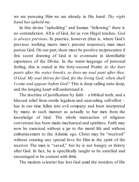we are pursuing Him we are already in His hand: *Thy right hand has upheld me.*

In this divine "upholding" and human "following" there is no contradiction. All is of God, for as von Hügel teaches, *God is always previous*. In practice, however (that is, where God's previous working meets man's present response), man must pursue God. On our part, there must be positive reciprocation if this secret drawing of God is to eventuate in identifiable experience of the Divine. In the warm language of personal feeling, this is stated in the forty-second Psalm: *As the hart pants after the water brooks, so does my soul pant after thee, O God. My soul thirsts for God, for the living God; when shall I come and appear before God?* This is deep calling unto deep, and the longing heart will understand it.

The doctrine of justification by faith  $-$  a biblical truth, and a blessed relief from sterile legalism and unavailing self-effort – has in our time fallen into evil company and been interpreted by many in such manner as actually to bar men from the knowledge of God. The whole transaction of religious conversion has been made mechanical and spiritless. Faith may now be exercised without a jar to the moral life and without embarrassment to the Adamic ego. Christ may be "received" without creating any special love for Him in the spirit of the receiver. The man is "saved," but he is not hungry or thirsty after God. In fact, he is specifically taught to be satisfied and encouraged to be content with little.

The modern scientist has lost God amid the wonders of His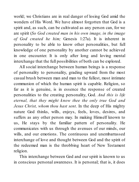world; we Christians are in real danger of losing God amid the wonders of His Word. We have almost forgotten that God is a spirit and, as such, can be cultivated as any person can, for we are spirit (*So God created man in his own image, in the image of God created he him;* Genesis 1:27a). It is inherent in personality to be able to know other personalities, but full knowledge of one personality by another cannot be achieved in one encounter. It is only after long and loving mental interchange that the full possibilities of both can be explored.

All social interchange between human beings is a response of personality to personality, grading upward from the most casual brush between man and man to the fullest, most intimate communion of which the human spirit is capable. Religion, so far as it is genuine, is in essence the response of created personalities to the creating personality, God. *And this is life eternal, that they might know thee the only true God and Jesus Christ, whom thou hast sent*. In the deep of His mighty nature God thinks, wills, enjoys, feels, loves, desires, and suffers as any other person may. In making Himself known to us, He stays by the familiar pattern of personality. He communicates with us through the avenues of our minds, our wills, and our emotions. The continuous and unembarrassed interchange of love and thought between God and the spirit of the redeemed man is the throbbing heart of New Testament religion.

This interchange between God and our spirit is known to us in conscious personal awareness. It is personal; that is, it does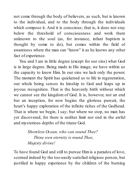not come through the body of believers, as such, but is known to the individual, and to the body through the individuals which compose it. And it is conscious; that is, it does not stay below the threshold of consciousness and work there unknown to the soul (as, for instance, infant baptism is thought by some to do), but comes within the field of awareness where the man can "know" it as he knows any other fact of experience.

You and I are in little degree (except for our sins) what God is in large degree. Being made in His image, we have within us the capacity to know Him. In our sins we lack only the power. The moment the Spirit has quickened us to life in regeneration, our whole being senses its kinship to God and leaps up in joyous recognition. That is the heavenly birth without which we cannot see the kingdom of God. It is, however, not an end but an inception, for now begins the glorious pursuit, the heart's happy exploration of the infinite riches of the Godhead. That is where we begin, I say; but where we stop, no man has yet discovered, for there is neither limit nor end in the awful and mysterious depths of the triune God.

> *Shoreless Ocean, who can sound Thee? Thine own eternity is round Thee, Majesty divine!*

To have found God and still to pursue Him is a paradox of love, scorned indeed by the too-easily-satisfied religious person, but justified in happy experience by the children of the burning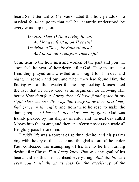heart. Saint Bernard of Clairvaux stated this holy paradox in a musical four-line poem that will be instantly understood by every worshipping soul:

> *We taste Thee, O Thou Living Bread, And long to feast upon Thee still: We drink of Thee, the Fountainhead And thirst our souls from Thee to fill.*

Come near to the holy men and women of the past and you will soon feel the heat of their desire after God. They mourned for Him, they prayed and wrestled and sought for Him day and night, in season and out, and when they had found Him, the finding was all the sweeter for the long seeking. Moses used the fact that he knew God as an argument for knowing Him better. *Now therefore, I pray thee, if I have found grace in thy sight, show me now thy way, that I may know thee, that I may find grace in thy sight*; and from there he rose to make the daring request: *I beseech thee, show me thy glory*. God was frankly pleased by this display of ardor, and the next day called Moses into the mount, and there in solemn procession made all His glory pass before him.

David's life was a torrent of spiritual desire, and his psalms ring with the cry of the seeker and the glad shout of the finder. Paul confessed the mainspring of his life to be his burning desire after Christ. *That I may know Him* was the goal of his heart, and to this he sacrificed everything. *And doubtless I even count all things as loss for the excellency of the*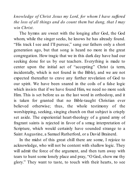*knowledge of Christ Jesus my Lord, for whom I have suf ered the loss of all things and do count them but dung, that I may win Christ*.

The hymns are sweet with the longing after God, the God whom, while the singer seeks, he knows he has already found. "His track I see and I'll pursue," sang our fathers only a short generation ago, but that song is heard no more in the great congregation. How tragic that we in this dark day have had our seeking done for us by our teachers. Everything is made to center upon the initial act of "accepting" Christ (a term, incidentally, which is not found in the Bible), and we are not expected thereafter to crave any further revelation of God to our spirit. We have been snared in the coils of a false logic which insists that if we have found Him, we need no more seek Him. This is set before us as the last word in orthodoxy, and it is taken for granted that no Bible-taught Christian ever believed otherwise; thus, the whole testimony of the worshipping, seeking, singing church on that subject is crisply set aside. The experiential heart-theology of a grand army of fragrant saints is rejected in favor of a smug interpretation of Scripture, which would certainly have sounded strange to a Saint Augustine, a Samuel Rutherford, or a David Brainerd.

In the midst of this great chill there are some, I rejoice to acknowledge, who will not be content with shallow logic. They will admit the force of the argument, and then turn away with tears to hunt some lonely place and pray, "O God, show me thy glory." They want to taste, to touch with their hearts, to see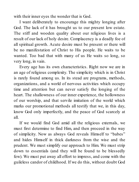with their inner eyes the wonder that is God.

I want deliberately to encourage this mighty longing after God. The lack of it has brought us to our present low estate. The stiff and wooden quality about our religious lives is a result of our lack of holy desire. Complacency is a deadly foe of all spiritual growth. Acute desire must be present or there will be no manifestation of Christ to His people. He waits to be wanted. Too bad that with many of us He waits so long, so very long, in vain.

Every age has its own characteristics. Right now we are in an age of religious complexity. The simplicity which is in Christ is rarely found among us. In its stead are programs, methods, organizations, and a world of nervous activities which occupy time and attention but can never satisfy the longing of the heart. The shallowness of our inner experience, the hollowness of our worship, and that servile imitation of the world which marks our promotional methods all testify that we, in this day, know God only imperfectly, and the peace of God scarcely at all.

If we would find God amid all the religious externals, we must first determine to find Him, and then proceed in the way of simplicity. Now as always God reveals Himself to "babes" and hides Himself in thick darkness from the wise and the prudent. We must simplify our approach to Him. We must strip down to essentials (and they will be found to be blessedly few). We must put away all effort to impress, and come with the guileless candor of childhood. If we do this, without doubt God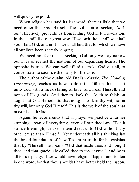will quickly respond.

When religion has said its last word, there is little that we need other than God Himself. The evil habit of seeking *Godand* effectively prevents us from finding God in full revelation. In the "and" lies our great woe. If we omit the "and" we shall soon find God, and in Him we shall find that for which we have all our lives been secretly longing.

We need not fear that in seeking God only we may narrow our lives or restrict the motions of our expanding hearts. The opposite is true. We can well afford to make God our all, to concentrate, to sacrifice the many for the One.

The author of the quaint, old English classic, *The Cloud of Unknowing*, teaches us how to do this. "Lift up thine heart unto God with a meek stirring of love; and mean Himself, and none of His goods. And thereto, look thee loath to think on aught but God Himself. So that nought work in thy wit, nor in thy will, but only God Himself. This is the work of the soul that most pleaseth God."

Again, he recommends that in prayer we practice a further stripping down of everything, even of our theology. "For it sufficeth enough, a naked intent direct unto God without any other cause than Himself." Yet underneath all his thinking lay the broad foundation of New Testament truth, for he explains that by "Himself" he means "God that made thee, and bought thee, and that graciously called thee to thy degree." And he is all for simplicity: If we would have religion "lapped and folden in one word, for that thou shouldst have better hold thereupon,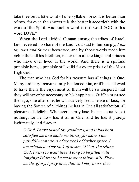take thee but a little word of one syllable: for so it is better than of two, for even the shorter it is the better it accordeth with the work of the Spirit. And such a word is this word GOD or this word LOVE."

When the Lord divided Canaan among the tribes of Israel, Levi received no share of the land. God said to himsimply, *I am thy part and thine inheritance*, and by those words made him richer than all his brethren, richer than all the kings and princes who have ever lived in the world. And there is a spiritual principle here, a principle still valid for every priest of the Most High God.

The man who has God for his treasure has all things in One. Many ordinary treasures may be denied him, or if he is allowed to have them, the enjoyment of them will be so tempered that they will never be necessary to his happiness. Or if he must see them go, one after one, he will scarcely feel a sense of loss, for having the Source of all things he has in One all satisfaction, all pleasure, all delight. Whatever he may lose, he has actually lost nothing, for he now has it all in One, and he has it purely, legitimately, and forever.

*O God, I have tasted thy goodness, and it has both satisfied me and made me thirsty for more. I am painfully conscious of my need of further grace. I am ashamed of my lack of desire. O God, the triune God, I want to want thee; I long to be filled with longing; I thirst to be made more thirsty still. Show me thy glory, I pray thee, that so I may know thee*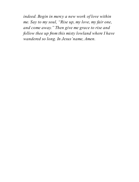*indeed. Begin in mercy a new work of love within me. Say to my soul, "Rise up, my love, my fair one, and come away." Then give me grace to rise and follow thee up from this misty lowland where I have wandered so long. In Jesus'name, Amen.*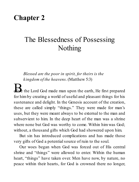### **Chapter 2**

### The Blessedness of Possessing Nothing

*Blessed are the poor in spirit, for theirs is the kingdom of the heavens*. (Matthew 5:3)

**Ex** the Lord God made man upon the earth, He first prepared for himby creating a world of useful and pleasant things for his sustenance and delight. In the Genesis account of the creation, these are called simply "things." They were made for man's uses, but they were meant always to be external to the man and subservient to him. In the deep heart of the man was a shrine where none but God was worthy to come. Within him was God: without, a thousand gifts which God had showered upon him.

But sin has introduced complications and has made those very gifts of God a potentialsource of ruin to the soul.

Our woes began when God was forced out of His central shrine and "things" were allowed to enter. Within the human heart, "things" have taken over. Men have now, by nature, no peace within their hearts, for God is crowned there no longer,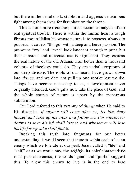but there in the moral dusk, stubborn and aggressive usurpers fight among themselves for first place on the throne.

This is not a mere metaphor, but an accurate analysis of our real spiritual trouble. There is within the human heart a tough fibrous root of fallen life whose nature is to possess, always to possess. It covets "things" with a deep and fierce passion. The pronouns "my" and "mine" look innocent enough in print, but their constant and universal use is significant. They express the real nature of the old Adamic man better than a thousand volumes of theology could do. They are verbal symptoms of our deep disease. The roots of our hearts have grown down into *things*, and we dare not pull up one rootlet lest we die. Things have become necessary to us, a development never originally intended. God's gifts now take the place of God, and the whole course of nature is upset by the monstrous substitution.

Our Lord referred to this tyranny of *things* when He said to His disciples, *If anyone will come after me, let him deny himself and take up his cross and follow me. For whosoever desires to save his life shall lose it, and whosoever will lose his life for my sake shall find it.*

Breaking this truth into fragments for our better understanding, it would seem that there is within each of us an enemy which we tolerate at our peril. Jesus called it "life" and "self," or as we would say, the *self-life*. Its chief characteristic is its possessiveness; the words "gain" and "profit" suggest this. To allow this enemy to live is in the end to lose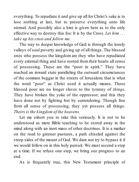everything. To repudiate it and give up all for Christ's sake is to lose nothing at last, but to preserve everything unto life eternal. And possibly also a hint is given here as to the only effective way to destroy this foe: It is by the Cross. *Let him . . . take up his cross and follow me*.

The way to deeper knowledge of God is through the lonely valleys of soul poverty and giving up of all things. The blessed ones who possess the kingdom are they who have repudiated every external thing and have rooted from their hearts all sense of possessing. These are the "poor in spirit." They have reached an inward state paralleling the outward circumstances of the common beggar in the streets of Jerusalem; that is what the word "poor" as Christ used it actually means. These blessed poor are no longer slaves to the tyranny of *things*. They have broken the yoke of the oppressor; and this they have done not by fighting but by surrendering. Though free from all sense of possessing, they yet possess all things. *Theirs is the kingdom of the heavens.*

Let me exhort you to take this seriously. It is not to be understood as mere Bible teaching to be stored away in the mind along with an inert mass of other doctrines. It is a marker on the road to greener pastures, a path chiseled against the steep sides of the mount of God. We dare not try to bypass it if we would follow on in this holy pursuit. We must ascend a step at a time. If we refuse one step, we bring our progress to an end.

As is frequently true, this New Testament principle of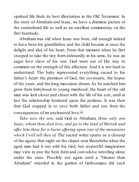spiritual life finds its best illustration in the Old Testament. In the story of Abraham and Isaac, we have a dramatic picture of the surrendered life as well as an excellent commentary on the first beatitude.

Abraham was old when Isaac was born, old enough indeed to have been his grandfather, and the child became at once the delight and idol of his heart. From that moment when he first stooped to take the tiny form awkwardly in his arms, he was an eager love slave of his son. God went out of His way to comment on the strength of this affection. And it is not hard to understand. The baby represented everything sacred to his father's heart: the promises of God, the covenants, the hopes of the years, and the long messianic dream. As he watched him grow from babyhood to young manhood, the heart of the old man was knit closer and closer with the life of his son, until at last the relationship bordered upon the perilous. It was then that God stepped in to save both father and son from the consequences of an uncleansed love.<sup>[1]</sup>

*Take now thy son*, said God to Abraham, *thine only son Isaac, whom thou dost love, and go to the land of Moriah and of er him there for a burnt of ering upon one of the mountains which I will tell thee of.* The sacred writer spares us a closeup of the agony that night on the slopes near Beersheba when the aged man had it out with his God, but respectful imagination may view in awe the bent form and convulsive wrestling alone under the stars. Possibly not again until a "Greater than Abraham" wrestled in the garden of Gethsemane did such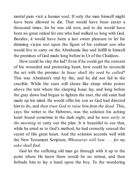mortal pain visit a human soul. If only the man himself might have been allowed to die. That would have been easier a thousand times, for he was old now, and to die would have been no great ordeal for one who had walked so long with God. Besides, it would have been a last sweet pleasure to let his dimming vision rest upon the figure of his stalwart son who would live to carry on the Abrahamic line and fulfill in himself the promises of God made long before in Ur of the Chaldees.

How could he slay the lad? Even if he could get the consent of his wounded and protesting heart, how could he reconcile the act with the promise: *In Isaac shall thy seed be called*? This was Abraham's trial by fire, and he did not fail in the crucible. While the stars still shone like sharp white points above the tent where the sleeping Isaac lay, and long before the gray dawn had begun to lighten the east, the old saint had made up his mind. He would offer his son as God had directed him to do, and *then trust God to raise him from the dead*. This, says the writer to the Hebrews, was the solution his aching heart found sometime in the dark night, and he rose *early in the morning* to carry out the plan. It is beautiful to see that, while he erred as to God's method, he had correctly sensed the secret of His great heart. And the solution accords well with the New Testament Scripture, *Whosoever will lose . . . for my sake shall find*.

God let the suffering old man go through with it up to the point where He knew there would be no retreat, and then forbade him to lay a hand upon the boy. To the wondering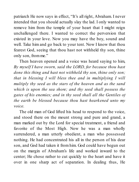patriarch He now says in effect, "It's all right, Abraham. I never intended that you should actually slay the lad. I only wanted to remove him from the temple of your heart that I might reign unchallenged there. I wanted to correct the perversion that existed in your love. Now you may have the boy, sound and well. Take him and go back to your tent. Now I know that thou fearest God, seeing that thou hast not withheld thy son, thine only son, fromme."

Then heaven opened and a voice was heard saying to him, *By myself I have sworn, said the LORD, for because thou hast done this thing and hast not withheld thy son, thine only son; that in blessing I will bless thee and in multiplying I will multiply thy seed as the stars of the heaven and as the sand which is upon the sea shore; and thy seed shall possess the gates of his enemies; and in thy seed shall all the Gentiles of the earth be blessed because thou hast hearkened unto my voice.*

The old man of God lifted his head to respond to the voice, and stood there on the mount strong and pure and grand, a man marked out by the Lord for special treatment, a friend and favorite of the Most High. Now he was a man wholly surrendered, a man utterly obedient, a man who possessed nothing. He had concentrated his all in the person of his dear son, and God had taken it from him. God could have begun out on the margin of Abraham's life and worked inward to the center; He chose rather to cut quickly to the heart and have it over in one sharp act of separation. In dealing thus, He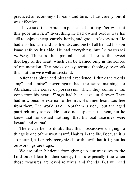practiced an economy of means and time. It hurt cruelly, but it was effective.

I have said that Abraham possessed nothing. Yet was not this poor man rich? Everything he had owned before was his still to enjoy:sheep, camels, herds, and goods of every sort. He had also his wife and his friends, and best of all he had his son Isaac safe by his side. He had everything, but *he possessed nothing*. There is the spiritual secret. There is the sweet theology of the heart, which can be learned only in the school of renunciation. The books on systematic theology overlook this, but the wise will understand.

After that bitter and blessed experience, I think the words "my" and "mine" never again had the same meaning for Abraham. The sense of possession which they connote was gone from his heart. *Things* had been cast out forever. They had now become external to the man. His inner heart was free from them. The world said, "Abraham is rich," but the aged patriarch only smiled. He could not explain it to them, but he knew that he owned nothing, that his real treasures were inward and eternal.

There can be no doubt that this possessive clinging to things is one of the most harmful habits in the life. Because it is so natural, it is rarely recognized for the evil that it is; but its outworkings are tragic.

We are often hindered from giving up our treasures to the Lord out of fear for their safety; this is especially true when those treasures are loved relatives and friends. But we need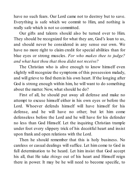have no such fears. Our Lord came not to destroy but to save. Everything is safe which we commit to Him, and nothing is really safe which is not so committed.

Our gifts and talents should also be turned over to Him. They should be recognized for what they are, God's loan to us, and should never be considered in any sense our own. We have no more right to claim credit for special abilities than for blue eyes or strong muscles. *For who makes thee to judge? and what hast thou that thou didst not receive?*

The Christian who is alive enough to know himself even slightly will recognize the symptoms of this possession malady, and will grieve to find themin his own heart. If the longing after God is strong enough within him, he will want to do something about the matter. Now, what should he do?

First of all, he should put away all defense and make no attempt to excuse himself either in his own eyes or before the Lord. Whoever defends himself will have himself for his defense, and he will have no other; but let him come defenseless before the Lord and he will have for his defender no less than God Himself. Let the inquiring Christian trample under foot every slippery trick of his deceitful heart and insist upon frank and open relations with the Lord.

Then he should remember that this is holy business. No careless or casual dealings will suffice. Let him come to God in full determination to be heard. Let him insist that God accept his all, that He take *things* out of his heart and Himself reign there in power. It may be he will need to become specific, to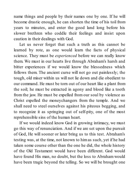name things and people by their names one by one. If he will become drastic enough, he can shorten the time of his toil from years to minutes, and enter the good land long before his slower brethren who coddle their feelings and insist upon caution in their dealings with God.

Let us never forget that such a truth as this cannot be learned by rote, as one would learn the facts of physical science. They must be *experienced* before we can really know them. We must in our hearts live through Abraham's harsh and bitter experiences if we would know the blessedness which follows them. The ancient curse will not go out painlessly; the tough, old miser within us will not lie down and die obedient to our command. He must be torn out of our heart like a plant from the soil; he must be extracted in agony and blood like a tooth from the jaw. He must be expelled from our soul by violence as Christ expelled the moneychangers from the temple. And we shall need to steel ourselves against his piteous begging, and to recognize it as springing out of self-pity, one of the most reprehensible sins of the human heart.

If we would indeed know God in growing intimacy, we must go this way of renunciation. And if we are set upon the pursuit of God, He will sooner or later bring us to this test. Abraham's testing was, at the time, not known to himas such, yet if he had taken some course other than the one he did, the whole history of the Old Testament would have been different. God would have found His man, no doubt, but the loss to Abraham would have been tragic beyond the telling. So we will be brought one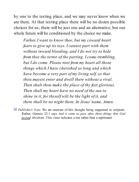by one to the testing place, and we may never know when we are there. At that testing place there will be no dozen possible choices for us; there will be just one and an alternative, but our whole future will be conditioned by the choice we make.

*Father, I want to know thee, but my coward heart fears to give up its toys. I cannot part with them without inward bleeding, and I do not try to hide from thee the terror of the parting. I come trembling, but I do come. Please root from my heart all those things which I have cherished so long and which have become a very part of my living self, so that thou mayest enter and dwell there without a rival. Then shalt thou make the place of thy feet glorious. Then shall my heart have no need of the sun to shine in it, for thyself wilt be the light of it, and there shall be no night there. In Jesus'name, Amen.*

[1] *Publisher's Note:* We are unaware of this thought being supported in scripture. Rather, Genesis 22:1 says And it came to pass after these things that God proved Abraham. This verse indicates a test rather than a reprimand.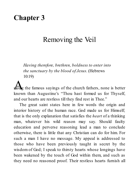### **Chapter 3**

### Removing the Veil

*Having therefore, brethren, boldness to enter into the sanctuary by the blood of Jesus*. (Hebrews 10:19)

**A** is the famous sayings of the church fathers, none is better known than Augustine's "Thou hast formed us for Thyself, and our hearts are restless till they find rest in Thee."

The great saint states here in few words the origin and interior history of the human race. God made us for Himself; that is the only explanation that satisfies the *heart* of a thinking man, whatever his wild reason may say. Should faulty education and perverse reasoning lead a man to conclude otherwise, there is little that any Christian can do for him. For such a man I have no message. My appeal is addressed to those who have been previously taught in secret by the wisdom of God; I speak to thirsty hearts whose longings have been wakened by the touch of God within them, and such as they need no reasoned proof. Their restless hearts furnish all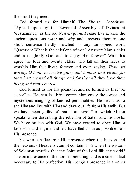the proof they need.

God formed us for Himself. The *Shorter Catechism*, "Agreed upon by the Reverend Assembly of Divines at Westminster," as the old *New-England Primer* has it, asks the ancient questions *what* and *why* and answers them in one short sentence hardly matched in any uninspired work. "Question: What is the chief end of man? Answer*:* Man's chief end is to glorify God, and to enjoy Him forever." With this agree the four and twenty elders who fall on their faces to worship Him that liveth forever and ever, saying, *Thou art worthy, O Lord, to receive glory and honour and virtue; for thou hast created all things, and for thy will they have their being and were created.*

God formed us for His pleasure, and so formed us that we, as well as He, can in divine communion enjoy the sweet and mysterious mingling of kindred personalities. He meant us to see Him and live with Him and draw our life from His smile. But we have been guilty of that "foul revolt" of which Milton speaks when describing the rebellion of Satan and his hosts. We have broken with God. We have ceased to obey Him or love Him, and in guilt and fear have fled as far as possible from His presence.

Yet who can flee from His presence when the heaven and the heavens of heavens cannot contain Him? when the wisdom of Solomon testifies that the Spirit of the Lord fills the world? The omnipresence of the Lord is one thing, and is a solemn fact necessary to His perfection. His *manifest* presence is another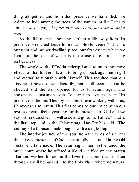thing altogether, and from that presence we have fled, like Adam, to hide among the trees of the garden, or like Peter to shrink away crying, *Depart from me, Lord, for I am a sinful man*.

So the life of man upon the earth is a life away from His presence, wrenched loose from that "blissful center" which is our right and proper dwelling place, our first estate, which we kept not, the loss of which is the cause of our unceasing restlessness.

The whole work of God in redemption is to undo the tragic effects of that foul revolt, and to bring us back again into right and eternal relationship with Himself. This required that our sins be disposed of satisfactorily, that a full reconciliation be effected and the way opened for us to return again into conscious communion with God and to live again in His presence as before. Then by His prevenient working within us, He moves us to return. This first comes to our notice when our restless hearts feel a yearning for the presence of God and we say within ourselves, "I will arise and go to my Father." That is the first step, and as the Chinese sage Lao-Tze has said, "The journey of a thousand miles begins with a single step."

The interior journey of the soul from the wilds of sin into the enjoyed presence of God is beautifully illustrated in the Old Testament tabernacle. The returning sinner first entered the outer court where he offered a blood sacrifice on the brazen altar and washed himself in the laver that stood near it. Then through a veil he passed into the Holy Place where no natural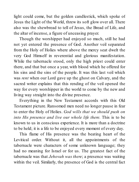light could come, but the golden candlestick, which spoke of Jesus the Light of the World, threw its soft glow over all. There also was the shewbread to tell of Jesus, the Bread of Life, and the altar of incense, a figure of unceasing prayer.

Though the worshipper had enjoyed so much, still he had not yet entered the presence of God. Another veil separated from the Holy of Holies where above the mercy seat dwelt the very God Himself in reverential and glorious manifestation. While the tabernacle stood, only the high priest could enter there, and that but once a year, with blood which he offered for his sins and the sins of the people. It was this last veil which was *rent* when our Lord gave up the ghost on Calvary, and the sacred writer explains that this rending of the veil opened the way for every worshipper in the world to come by the new and living way straight into the divine presence.

Everything in the New Testament accords with this Old Testament picture. Ransomed men need no longer pause in fear to enter the Holy of Holies. *God wills that we should push on into His presence and live our whole life there.* This is to be known to us in conscious experience. It is more than a doctrine to be held; it is a life to be enjoyed every moment of every day.

This flame of His presence was the beating heart of the Levitical order. Without it, all the appointments of the tabernacle were characters of some unknown language; they had no meaning for Israel or for us. The greatest fact of the tabernacle was that *Jehovah was there*; a presence was waiting within the veil. Similarly, the presence of God is the central fact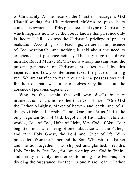of Christianity. At the heart of the Christian message is God Himself waiting for His redeemed children to push in to conscious awareness of His presence. That type of Christianity which happens now to be the vogue knows this presence only in theory. It fails to stress the Christian's privilege of present realization. According to its teachings, we are in the presence of God positionally, and nothing is said about the need to experience that presence actually. The fiery urge that drove men like Robert Murray McCheyne is wholly missing. And the present generation of Christians measures itself by this imperfect rule. Lowly contentment takes the place of burning zeal. We are satisfied to rest in our *judicial* possessions and, for the most part, we bother ourselves very little about the absence of personal experience.

Who is this within the veil who dwells in fiery manifestations? It is none other than God Himself, "One God the Father Almighty, Maker of heaven and earth, and of all things visible and invisible," and "One Lord Jesus Christ, the only begotten Son of God; begotten of His Father before all worlds, God of God, Light of Light, Very God of Very God; begotten, not made; being of one substance with the Father," and "the Holy Ghost, the Lord and Giver of life, Who proceedeth from the Father and the Son, Who with the Father and the Son together is worshipped and glorified." Yet this Holy Trinity is One God, for "we worship one God in Trinity, and Trinity in Unity; neither confounding the Persons, nor dividing the Substance. For there is one Person of the Father,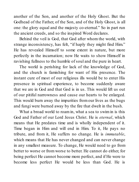another of the Son, and another of the Holy Ghost. But the Godhead of the Father, of the Son, and of the Holy Ghost, is all one: the glory equal and the majesty co-eternal." So in part run the ancient creeds, and so the inspired Word declares.

Behind the veil is God, that God after whom the world, with strange inconsistency, has felt, "if haply they might find Him." He has revealed Himself to some extent in nature, but more perfectly in the incarnation; now He waits to show Himself in ravishing fullness to the humble of soul and the pure in heart.

The world is perishing for lack of the knowledge of God, and the church is famishing for want of His presence. The instant cure of most of our religious ills would be to enter His presence in spiritual experience, to become suddenly aware that we are in God and that God is in us. This would lift us out of our pitiful narrowness and cause our hearts to be enlarged. This would burn away the impurities from our lives as the bugs and fungi were burned away by the fire that dwelt in the bush.

What a broad world to roam in, what a sea to swim in is this God and Father of our Lord Jesus Christ. He is *eternal*, which means that He predates time and is wholly independent of it. Time began in Him and will end in Him. To it, He pays no tribute, and from it, He suffers no change. He is *immutable*, which means that He has never changed and can never change in any smallest measure. To change, He would need to go from better to worse or from worse to better. He cannot do either, for being perfect He cannot become more perfect, and if He were to become less perfect He would be less than God. He is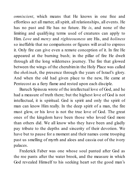*omniscient*, which means that He knows in one free and effortless act all matter, all spirit, all relationships, all events. He has no past and He has no future. He *is*, and none of the limiting and qualifying terms used of creatures can apply to Him. *Love* and *mercy* and *righteousness* are His, and *holiness* so ineffable that no comparisons or figures will avail to express it. Only fire can give even a remote conception of it. In fire He appeared at the burning bush; in the pillar of fire He dwelt through all the long wilderness journey. The fire that glowed between the wings of the cherubimin the Holy Place was called the *shekinah*, the presence through the years of Israel's glory. And when the old had given place to the new, He came at Pentecost as a fiery flame and rested upon each disciple.

Baruch Spinoza wrote of the intellectual love of God, and he had a measure of truth there; but the highest love of God is not intellectual, it is spiritual. God is spirit and only the spirit of man can know Him really. In the deep spirit of a man, the fire must glow, or his love is not the true love of God. The great ones of the kingdom have been those who loved God more than others did. We all know who they have been and gladly pay tribute to the depths and sincerity of their devotion. We have but to pause for a moment and their names come trooping past us smelling of myrrh and aloes and cassia out of the ivory palaces.

Frederick Faber was one whose soul panted after God as the roe pants after the water brook, and the measure in which God revealed Himself to his seeking heart set the good man's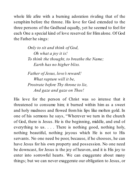whole life afire with a burning adoration rivaling that of the seraphim before the throne. His love for God extended to the three persons of the Godhead equally, yet he seemed to feel for each One a special kind of love reserved for Him alone. Of God the Father he sings:

> *Only to sit and think of God, Oh what a joy it is! To think the thought, to breathe the Name; Earth has no higher bliss.*

*Father of Jesus, love's reward! What rapture will it be, Prostrate before Thy throne to lie, And gaze and gaze on Thee!*

His love for the person of Christ was so intense that it threatened to consume him; it burned within him as a sweet and holy madness and flowed from his lips like molten gold. In one of his sermons he says, "Wherever we turn in the church of God, there is Jesus. He is the beginning, middle, and end of everything to us. . . . There is nothing good, nothing holy, nothing beautiful, nothing joyous which He is not to His servants. No one need be poor, because, if he chooses, he can have Jesus for his own property and possession. No one need be downcast, for Jesus is the joy of heaven, and it is His joy to enter into sorrowful hearts. We can exaggerate about many things; but we can never exaggerate our obligation to Jesus, or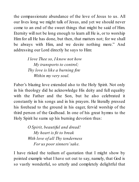the compassionate abundance of the love of Jesus to us. All our lives long we might talk of Jesus, and yet we should never come to an end of the sweet things that might be said of Him. Eternity will not be long enough to learn all He is, or to worship Him for all He has done, but then, that matters not; for we shall be always with Him, and we desire nothing more." And addressing our Lord directly he says to Him:

> *I love Thee so, I know not how My transports to control; Thy love is like a burning fire Within my very soul.*

Faber's blazing love extended also to the Holy Spirit. Not only in his theology did he acknowledge His deity and full equality with the Father and the Son, but he also celebrated it constantly in his songs and in his prayers. He literally pressed his forehead to the ground in his eager, fervid worship of the third person of the Godhead. In one of his great hymns to the Holy Spirit he sums up his burning devotion thus:

> *O Spirit, beautiful and dread! My heart is fit to break With love of all Thy tenderness For us poor sinners'sake.*

I have risked the tedium of quotation that I might show by pointed example what I have set out to say, namely, that God is so vastly wonderful, so utterly and completely delightful that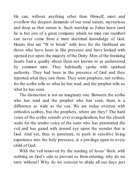He can, without anything other than Himself, meet and overflow the deepest demands of our total nature, mysterious and deep as that nature is. Such worship as Faber knew (and he is but one of a great company which no man can number) can never come from a mere doctrinal knowledge of God. Hearts that are "fit to break" with love for the Godhead are those who have been in His presence and have looked with opened eye upon the majesty of the Deity. Men of the breaking hearts had a quality about them not known to or understood by common men. They habitually spoke with spiritual authority. They had been in the presence of God and they reported what they saw there. They were prophets, not scribes, for the scribe tells us what he has read, and the prophet tells us what he has seen.

The distinction is not an imaginary one. Between the scribe who has read and the prophet who has seen, there is a difference as wide as the sea. We are today overrun with orthodox scribes, but the prophets, where are they? The hard voice of the scribe sounds over evangelicalism, but the church waits for the tender voice of the saint who has penetrated the veil and has gazed with inward eye upon the wonder that is God. And yet, thus to penetrate, to push in sensitive living experience into the holy presence, is a privilege open to every child of God.

With the veil removed by the rending of Jesus' flesh, with nothing on God's side to prevent us from entering, why do we tarry without? Why do we consent to abide all our days just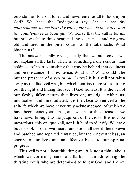outside the Holy of Holies and never enter at all to look upon God? We hear the Bridegroom say, *Let me see thy countenance, let me hear thy voice; for sweet is thy voice, and thy countenance is beautiful*. We sense that the call is for us, but still we fail to draw near, and the years pass and we grow old and tired in the outer courts of the tabernacle. What hinders us?

The answer usually given, simply that we are "cold," will not explain all the facts. There is something more serious than coldness of heart, something that may be behind that coldness and be the cause of its existence. What is it? What could it be but the presence of *a veil in our hearts*? It is a veil not taken away as the first veil was, but which remains there stillshutting out the light and hiding the face of God from us. It is the veil of our fleshly fallen nature that lives on, unjudged within us, uncrucified, and unrepudiated. It is the close-woven veil of the self-life which we have never truly acknowledged, of which we have been secretly ashamed, and which for these reasons we have never brought to the judgment of the cross. It is not too mysterious, this opaque veil, nor is it hard to identify. We have but to look in our own hearts and we shall see it there, sewn and patched and repaired it may be, but there nevertheless, an enemy to our lives and an effective block to our spiritual progress.

This veil is not a beautiful thing and it is not a thing about which we commonly care to talk, but I am addressing the thirsting souls who are determined to follow God, and I know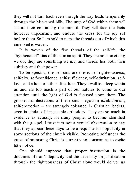they will not turn back even though the way leads temporarily through the blackened hills. The urge of God within them will assure their continuing the pursuit. They will face the facts however unpleasant, and endure the cross for the joy set before them. So I ambold to name the threads out of which this inner veil is woven.

It is woven of the fine threads of the self-life, the "hyphenated" sins of the human spirit. They are not something we do; they are something we *are*, and therein lies both their subtlety and their power.

To be specific, the self-sins are these: self-righteousness, self-pity, self-confidence, self-sufficiency, self-admiration, selflove, and a host of others like them. They dwell too deep within us and are too much a part of our natures to come to our attention until the light of God is focused upon them. The grosser manifestations of these sins – egotism, exhibitionism, self-promotion – are strangely tolerated in Christian leaders, even in circles of impeccable orthodoxy. They are so much in evidence as actually, for many people, to become identified with the gospel. I trust it is not a cynical observation to say that they appear these days to be a requisite for popularity in some sections of the church visible. Promoting self under the guise of promoting Christ is currently so common as to excite little notice.

One should suppose that proper instruction in the doctrines of man's depravity and the necessity for justification through the righteousness of Christ alone would deliver us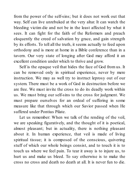from the power of the self-sins; but it does not work out that way. Self can live unrebuked at the very altar. It can watch the bleeding victim die and not be in the least affected by what it sees. It can fight for the faith of the Reformers and preach eloquently the creed of salvation by grace, and gain strength by its efforts. To tell all the truth, it seems actually to feed upon orthodoxy and is more at home in a Bible conference than in a tavern. Our very state of longing after God may afford it an excellent condition under which to thrive and grow.

Self is the opaque veil that hides the face of God from us. It can be removed only in spiritual experience, never by mere instruction. We may as well try to instruct leprosy out of our system. There must be a work of God in destruction before we are free. We must invite the cross to do its deadly work within us. We must bring our self-sins to the cross for judgment. We must prepare ourselves for an ordeal of suffering in some measure like that through which our Savior passed when He suffered under Pontius Pilate.

Let us remember: When we talk of the rending of the veil, we are speaking figuratively, and the thought of it is poetical, almost pleasant; but in actuality, there is nothing pleasant about it. In human experience, that veil is made of living spiritual tissue; it is composed of the conscious, quivering stuff of which our whole beings consist, and to touch it is to touch us where we feel pain. To tear it away is to injure us, to hurt us and make us bleed. To say otherwise is to make the cross no cross and death no death at all. It is never fun to die.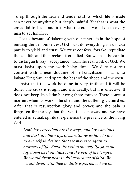To rip through the dear and tender stuff of which life is made can never be anything but deeply painful. Yet that is what the cross did to Jesus and it is what the cross would do to every man to set himfree.

Let us beware of tinkering with our inner life in the hope of rending the veil ourselves. God must do everything for us. Our part is to yield and trust. We must confess, forsake, repudiate the self-life, and then reckon it crucified. But we must be careful to distinguish lazy "acceptance" from the real work of God. We must insist upon the work being done. We dare not rest content with a neat doctrine of self-crucifixion. That is to imitate King Saul and spare the best of the sheep and the oxen.

Insist that the work be done in very truth and it will be done. The cross is rough, and it is deadly, but it is effective. It does not keep its victim hanging there forever. There comes a moment when its work is finished and the suffering victim dies. After that is resurrection glory and power, and the pain is forgotten for the joy that the veil is taken away and we have entered in actual, spiritual experience the presence of the living God.

*Lord, how excellent are thy ways, and how devious and dark are the ways of man. Show us how to die to our selfish desires, that we may rise again to newness of life. Rend the veil of our self-life from the top down as thou didst rend the veil of the temple. We would draw near in full assurance of faith. We would dwell with thee in daily experience here on*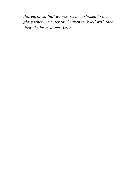*this earth, so that we may be accustomed to the glory when we enter thy heaven to dwell with thee there. In Jesus'name, Amen.*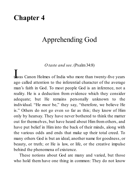### **Chapter 4**

## Apprehending God

*O taste and see*. (Psalm34:8)

**L**<br>was Canon Holmes of India who more than twenty-five years ago called attention to the inferential character of the average man's faith in God. To most people God is an inference, not a reality. He is a deduction from evidence which they consider adequate; but He remains personally unknown to the individual. "He *must* be," they say, "therefore, we believe He is." Others do not go even so far as this; they know of Him only by hearsay. They have never bothered to think the matter out for themselves, but have heard about Him from others, and have put belief in Him into the back of their minds, along with the various odds and ends that make up their total creed. To many others God is but an ideal, another name for goodness, or beauty, or truth; or He is law, or life, or the creative impulse behind the phenomena of existence.

These notions about God are many and varied, but those who hold them have one thing in common: They do not know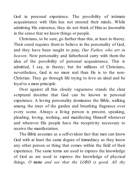God in personal experience. The possibility of intimate acquaintance with Him has not entered their minds. While admitting His existence, they do not think of Him as knowable in the sense that we know things or people.

Christians, to be sure, go further than this, at least in theory. Their creed requires them to believe in the personality of God. and they have been taught to pray, *Our Father, who art in heaven.* Now personality and fatherhood carry with them the idea of the possibility of personal acquaintance. This is admitted, I say, in theory; but for millions of Christians, nevertheless, God is no more real than He is to the non-Christian. They go through life trying to love an ideal and be loyal to a mere principle.

Over against all this cloudy vagueness stands the clear scriptural doctrine that God can be known in personal experience. A loving personality dominates the Bible, walking among the trees of the garden and breathing fragrance over every scene. Always a living person is present, speaking, pleading, loving, working, and manifesting Himself whenever and wherever His people have the receptivity necessary to receive the manifestation.

The Bible assumes as a self-evident fact that men can know God with at least the same degree of immediacy as they know any other person or thing that comes within the field of their experience. The same terms are used to express the knowledge of God as are used to express the knowledge of physical things. *O taste and see that the LORD is good*. *All thy*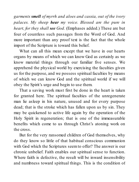*garments smell of myrrh and aloes and cassia, out of the ivory palaces. My sheep hear my voice. Blessed are the pure in heart, for they shall see God.* (Emphases added.) These are but four of countless such passages from the Word of God. And more important than any proof text is the fact that the whole import of the Scripture is toward this belief.

What can all this mean except that we have in our hearts organs by means of which we can know God as certainly as we know material things through our familiar five senses. We apprehend the physical world by exercising the faculties given us for the purpose, and we possess spiritual faculties by means of which we can know God and the spiritual world if we will obey the Spirit's urge and begin to use them.

That a saving work must first be done in the heart is taken for granted here. The spiritual faculties of the unregenerate man lie asleep in his nature, unused and for every purpose dead; that is the stroke which has fallen upon us by sin. They may be quickened to active life again by the operation of the Holy Spirit in regeneration; that is one of the immeasurable benefits which come to us through Christ's atoning work on the cross.

But for the very ransomed children of God themselves, why do they know so little of that habitual conscious communion with God which the Scriptures seemto offer? The answer is our chronic unbelief. Faith enables our spiritual sense to function. Where faith is defective, the result will be inward insensibility and numbness toward spiritual things. This is the condition of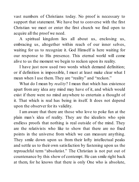vast numbers of Christians today. No proof is necessary to support that statement. We have but to converse with the first Christian we meet or enter the first church we find open to acquire all the proof we need.

A spiritual kingdom lies all about us, enclosing us, embracing us, altogether within reach of our inner selves, waiting for us to recognize it. God Himself is here waiting for our response to His presence. This eternal world will come alive to us the moment we begin to reckon upon its reality.

I have just now used two words which demand definition: or if definition is impossible, I must at least make clear what I mean when I use them. They are "reality" and "reckon."

What do I mean by *reality*? I mean that which has existence apart from any idea any mind may have of it, and which would exist if there were no mind anywhere to entertain a thought of it. That which is real has being in itself. It does not depend upon the observer for its validity.

I am aware that there are those who love to poke fun at the plain man's idea of reality. They are the idealists who spin endless proofs that nothing is real outside of the mind. They are the relativists who like to show that there are no fixed points in the universe from which we can measure anything. They smile down upon us from their lofty intellectual peaks and settle us to their own satisfaction by fastening upon us the reproachful term "absolutist." The Christian is not put out of countenance by this show of contempt. He can smile right back at them, for he knows that there is only One who is absolute,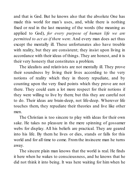and that is God. But he knows also that the absolute One has made this world for man's uses, and, while there is nothing fixed or real in the last meaning of the words (the meaning as applied to God), *for every purpose of human life we are permitted to act as if there were*. And every man does act thus except the mentally ill. These unfortunates also have trouble with reality, but they are consistent; they insist upon living in accordance with their ideas of things. They are honest, and it is their very honesty that constitutes a problem.

The idealists and relativists are not mentally ill. They prove their soundness by living their lives according to the very notions of reality which they in theory repudiate, and by counting upon the very fixed points which they prove are not there. They could earn a lot more respect for their notions if they were willing to live by them; but this they are careful not to do. Their ideas are brain-deep, not life-deep. Wherever life touches them, they repudiate their theories and live like other men.

The Christian is too sincere to play with ideas for their own sake. He takes no pleasure in the mere spinning of gossamer webs for display. All his beliefs are practical. They are geared into his life. By them he lives or dies, stands or falls for this world and for all time to come. From the insincere man he turns away.

The sincere plain man knows that the world is real. He finds it here when he wakes to consciousness, and he knows that he did not think it into being. It was here waiting for him when he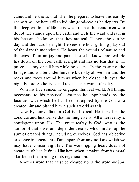came, and he knows that when he prepares to leave this earthly scene it will be here still to bid him good-bye as he departs. By the deep wisdom of life he is wiser than a thousand men who doubt. He stands upon the earth and feels the wind and rain in his face and he knows that they are real. He sees the sun by day and the stars by night. He sees the hot lightning play out of the dark thundercloud. He hears the sounds of nature and the cries of human joy and pain. These he knows are real. He lies down on the cool earth at night and has no fear that it will prove illusory or fail him while he sleeps. In the morning, the firm ground will be under him, the blue sky above him, and the rocks and trees around him as when he closed his eyes the night before. So he lives and rejoices in a world of reality.

With his five senses he engages this real world. All things necessary to his physical existence he apprehends by the faculties with which he has been equipped by the God who created himand placed himin such a world as this.

Now, by our definition God is also real. He is real in the absolute and final sense that nothing else is. All other reality is contingent upon His. The great reality is God, who is the author of that lower and dependent reality which makes up the sum of created things, including ourselves. God has objective existence independent of and apart from any notions which we may have concerning Him. The worshipping heart does not create its object. It finds Him here when it wakes from its moral slumber in the morning of its regeneration.

Another word that must be cleared up is the word *reckon*.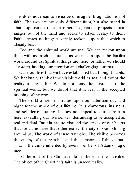This does not mean to visualize or imagine. Imagination is not faith. The two are not only different from, but also stand in sharp opposition to each other. Imagination projects unreal images out of the mind and seeks to attach reality to them. Faith creates nothing; it simply reckons upon that which is already *there*.

God and the spiritual world are real. We can reckon upon them with as much assurance as we reckon upon the familiar world around us. Spiritual things are there (or rather we should say *here*), inviting our attention and challenging our trust.

Our trouble is that we have established bad thought habits. We habitually think of the visible world as real and doubt the reality of any other. We do not deny the existence of the spiritual world, but we doubt that it is real in the accepted meaning of the word.

The world of sense intrudes upon our attention day and night for the whole of our lifetime. It is clamorous, insistent, and self-demonstrating. It does not appeal to our faith; it is here, assaulting our five senses, demanding to be accepted as real and final. But sin has so clouded the lenses of our hearts that we cannot see that other reality, the city of God, shining around us. The world of sense triumphs. The visible becomes the enemy of the invisible, and the temporal, of the eternal. That is the curse inherited by every member of Adam's tragic race.

At the root of the Christian life lies belief in the invisible. The object of the Christian's faith is unseen reality.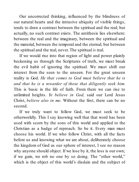Our uncorrected thinking, influenced by the blindness of our natural hearts and the intrusive ubiquity of visible things, tends to draw a contrast between the spiritual and the real; but actually, no such contrast exists. The antithesis lies elsewhere: between the real and the imaginary, between the spiritual and the material, between the temporal and the eternal; but between the spiritual and the real, never. The spiritual *is* real.

If we would rise into that region of light and power plainly beckoning us through the Scriptures of truth, we must break the evil habit of ignoring the spiritual. We must shift our interest from the seen to the unseen. For the great unseen reality is God. *He that comes to God must believe that he is and that he is a rewarder of those that diligently seek him.* This is basic in the life of faith. From there we can rise to unlimited heights. *Ye believe in God,* said our Lord Jesus Christ, *believe also in me.* Without the first, there can be no second.

If we truly want to follow God, we must seek to be otherworldly. This I say knowing well that that word has been used with scorn by the sons of this world and applied to the Christian as a badge of reproach. So be it. Every man must choose his world. If we who follow Christ, with all the facts before us and knowing what we are about, deliberately choose the kingdom of God as our sphere of interest, I see no reason why anyone should object. If we lose by it, the loss is our own; if we gain, we rob no one by so doing. The "other world," which is the object of this world's disdain and the subject of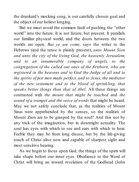the drunkard's mocking song, is our carefully chosen goal and the object of our holiest longing.

But we must avoid the common fault of pushing the "other world" into the future. It is not future, but present. It parallels our familiar physical world, and the doors between the two worlds are open. *But ye are come,* says the writer to the Hebrews (and the tense is plainly present), *unto Mount Sion and unto the city of the living God, the heavenly Jerusalem, and to an innumerable company of angels, to the congregation of the called out ones of the firstborn, who are registered in the heavens and to God the Judge of all and to the spirits of just men made perfect, and to Jesus, the mediator of the new testament and to the blood of sprinkling, that speaks better things than that of Abel.* All these things are contrasted with *the mount that might be touched* and *the sound of a trumpet and the voice of words* that might be heard. May we not safely conclude that, as the realities of Mount Sinai were apprehended by the senses, so the realities of Mount Zion are to be grasped by the soul? And this not by any trick of the imagination, but in downright actuality. The soul has eyes with which to see and ears with which to hear. Feeble they may be from long disuse, but by the life-giving touch of Christ alive now and capable of sharpest sight and most sensitive hearing.

As we begin to focus upon God, the things of the spirit will take shape before our inner eyes. Obedience to the Word of Christ will bring an inward revelation of the Godhead (John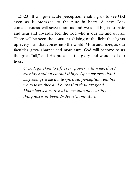14:21-23). It will give acute perception, enabling us to see God even as is promised to the pure in heart. A new Godconsciousness will seize upon us and we shall begin to taste and hear and inwardly feel the God who is our life and our all. There will be seen the constant shining of the light that lights up every man that comes into the world. More and more, as our faculties grow sharper and more sure, God will become to us the great "all," and His presence the glory and wonder of our lives.

*O God, quicken to life every power within me, that I may lay hold on eternal things. Open my eyes that I may see; give me acute spiritual perception; enable me to taste thee and know that thou art good. Make heaven more real to me than any earthly thing has ever been. In Jesus'name, Amen.*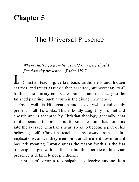# **Chapter 5**

#### The Universal Presence

*Where shall I go from thy spirit? or where shall I flee from thy presence?* (Psalm139:7)

**n** all Christian teaching, certain basic truths are found, hidden at times, and rather assumed than asserted, but necessary to all truth as the primary colors are found in and necessary to the finished painting. Such a truth is the divine immanence.

God dwells in His creation and is everywhere indivisibly present in all His works. This is boldly taught by prophet and apostle and is accepted by Christian theology generally; that is, it appears in the books, but for some reason it has not sunk into the average Christian's heart so as to become a part of his believing self. Christian teachers shy away from its full implications, and, if they mention it at all, mute it down until it has little meaning. I would guess the reason for this is the fear of being charged with pantheism; but the doctrine of the divine presence is definitely not pantheism.

Pantheism's error is too palpable to deceive anyone. It is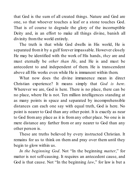that God is the sum of all created things. Nature and God are one, so that whoever touches a leaf or a stone touches God. That is of course to degrade the glory of the incorruptible Deity and, in an effort to make all things divine, banish all divinity fromthe world entirely.

The truth is that while God dwells in His world, He is separated fromit by a gulf forever impassable. However closely He may be identified with the work of His hands, *they* are and must eternally be *other than He*, and He is and must be antecedent to and independent of them. He is transcendent above all His works even while He is immanent within them.

What now does the divine immanence mean in direct Christian experience? It means simply that *God is here*. Wherever we are, God is here. There is no place, there can be no place, where He is not. Ten million intelligences standing at as many points in space and separated by incomprehensible distances can each one say with equal truth, God is here. No point is nearer to God than any other point. It is exactly as near to God fromany place as it is fromany other place. No one is in mere distance any farther from or any nearer to God than any other person is.

These are truths believed by every instructed Christian. It remains for us to think on them and pray over them until they begin to glow within us.

*In the beginning God*. Not "In the beginning *matter*," for matter is not self-causing. It requires an antecedent cause, and God is that cause. Not "In the beginning *law*," for law is but a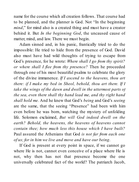name for the course which all creation follows. That course had to be planned, and the planner is God. Not "In the beginning *mind*," for mind also is a created thing and must have a creator behind it. But *In the beginning God*, the uncaused cause of matter, mind, and law. There we must begin.

Adam sinned and, in his panic, frantically tried to do the impossible: He tried to hide from the presence of God. David also must have had wild thoughts of trying to escape from God's presence, for he wrote: *Where shall I go from thy spirit? or where shall I flee from thy presence?* Then he proceeded through one of his most beautiful psalms to celebrate the glory of the divine immanence. *If I ascend to the heavens, thou art there: if I make my bed in Sheol, behold, thou art there. If I take the wings of the dawn and dwell in the uttermost parts of the sea, even there shall thy hand lead me, and thy right hand shall hold me.* And he knew that God's *being* and God's *seeing* are the same, that the seeing "Presence" had been with him even before he was born, watching the mystery of unfolding life. Solomon exclaimed, *But will God indeed dwell on the earth? Behold, the heavens, the heavens of heavens cannot contain thee; how much less this house which I have built?* Paul assured the Athenians that God *is not far from each one of us; for in him we live and move and have our being*.

If God is present at every point in space, if we cannot go where He is not, cannot even conceive of a place where He is not, why then has not that presence become the one universally celebrated fact of the world? The patriarch Jacob,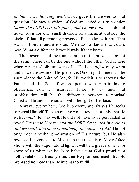*in the waste howling wilderness*, gave the answer to that question. He saw a vision of God and cried out in wonder. *Surely the LORD is in this place, and I knew it not*. Jacob had never been for one small division of a moment outside the circle of that all-pervading presence. But he knew it not. That was his trouble, and it is ours. Men do not know that God is here. What a difference it would make if they knew.

The presence and the manifestation of the presence are not the same. There can be the one without the other. God is here when we are wholly unaware of it. He is *manifest* only when and as we are aware of His presence. On our part there must be surrender to the Spirit of God, for His work it is to show us the Father and the Son. If we cooperate with Him in loving obedience, God will manifest Himself to us, and that manifestation will be the difference between a nominal Christian life and a life radiant with the light of His face.

Always, everywhere, God is present, and always He seeks to reveal Himself. To each one he would reveal not only that He is, but *what* He is as well. He did not have to be persuaded to reveal Himself to Moses. *And the LORD descended in a cloud and was with him there proclaiming the name of I AM.* He not only made a verbal proclamation of His nature, but He also revealed His very self to Moses so that the skin of Moses'face shone with the supernatural light. It will be a great moment for some of us when we begin to believe that God's promise of self-revelation is literally true: that He promised much, but He promised no more than He intends to fulfill.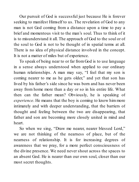Our pursuit of God is successful just because He is forever seeking to manifest Himself to us. The revelation of God to any man is not God coming from a distance upon a time to pay a brief and momentous visit to the man's soul. Thus to think of it is to misunderstand it all. The approach of God to the soul or of the soul to God is not to be thought of in spatial terms at all. There is no idea of physical distance involved in the concept. It is not a matter of miles but of experience.

To speak of being near to or far from God is to use language in a sense always understood when applied to our ordinary human relationships. A man may say, "I feel that my son is coming nearer to me as he gets older," and yet that son has lived by his father's side since he was born and has never been away from home more than a day or so in his entire life. What then can the father mean? Obviously, he is speaking of *experience*. He means that the boy is coming to know himmore intimately and with deeper understanding, that the barriers of thought and feeling between the two are disappearing, that father and son are becoming more closely united in mind and heart.

So when we sing, "Draw me nearer, nearer blessed Lord." we are not thinking of the nearness of place, but of the nearness of relationship. It is for increasing degrees of awareness that we pray, for a more perfect consciousness of the divine presence. We need never shout across the spaces to an absent God. He is nearer than our own soul, closer than our most secret thoughts.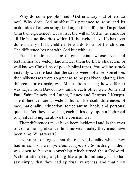Why do some people "find" God in a way that others do not? Why does God manifest His presence to some and let multitudes of others struggle along in the half-light of imperfect Christian experience? Of course, the will of God is the same for all. He has no favorites within His household. All He has ever done for any of His children He will do for all of His children. The difference lies not with God but with us.

Pick at random a score of great saints whose lives and testimonies are widely known. Let them be Bible characters or well-known Christians of post-biblical times. You will be struck instantly with the fact that the saints were not alike. Sometimes the unlikenesses were so great as to be positively glaring. How different, for example, was Moses from Isaiah; how different was Elijah from David; how unlike each other were John and Paul, Saint Francis and Luther, Finney and Thomas à Kempis. The differences are as wide as human life itself: differences of race, nationality, education, temperament, habit, and personal qualities. Yet they all walked, each in his day, upon a high road of spiritual living far above the common way.

Their differences must have been incidental and in the eyes of God of no significance. In some vital quality they must have been alike. What was it?

I venture to suggest that the one vital quality which they had in common was *spiritual receptivity*. Something in them was open to heaven, something which urged them Godward. Without attempting anything like a profound analysis, I shall say simply that they had spiritual awareness and that they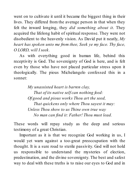went on to cultivate it until it became the biggest thing in their lives. They differed from the average person in that when they felt the inward longing, they *did something about it*. They acquired the lifelong habit of spiritual response. They were not disobedient to the heavenly vision. As David put it neatly, *My heart has spoken unto me from thee, Seek ye my face. Thy face, O LORD, will I seek.*

As with everything good in human life, behind this receptivity is God. The sovereignty of God is here, and is felt even by those who have not placed particular stress upon it theologically. The pious Michelangelo confessed this in a sonnet:

> *My unassisted heart is barren clay, That of its native self can nothing feed: Of good and pious works Thou art the seed, That quickens only where Thou sayest it may: Unless Thou show to us Thine own true way No man can find it: Father! Thou must lead.*

These words will repay study as the deep and serious testimony of a great Christian.

Important as it is that we recognize God working in us, I would yet warn against a too-great preoccupation with the thought. It is a sure road to sterile passivity. God will not hold us responsible to understand the mysteries of election, predestination, and the divine sovereignty. The best and safest way to deal with these truths is to raise our eyes to God and in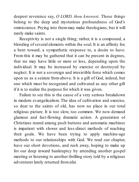deepest reverence say, *O LORD, thou knowest*. Those things belong to the deep and mysterious profoundness of God's omniscience. Prying into themmay make theologians, but it will rarely make saints.

Receptivity is not a single thing; rather, it is a compound, a blending of several elements within the soul. It is an affinity for, a bent toward, a sympathetic response to, a desire to have. From this it may be gathered that it can be present in degrees, that we may have little or more or less, depending upon the individual. It may be increased by exercise or destroyed by neglect. It is not a sovereign and irresistible force which comes upon us as a seizure from above. It is a gift of God, indeed, but one which must be recognized and cultivated as any other gift if it is to realize the purpose for which it was given.

Failure to see this is the cause of a very serious breakdown in modern evangelicalism. The idea of cultivation and exercise, so dear to the saints of old, has now no place in our total religious picture. It is too slow, too common. We now demand glamour and fast-flowing dramatic action. A generation of Christians reared among push buttons and automatic machines is impatient with slower and less-direct methods of reaching their goals. We have been trying to apply machine-age methods to our relationships with God. We read our chapter, have our short devotions, and rush away, hoping to make up for our deep inward bankruptcy by attending another gospel meeting or listening to another thrilling story told by a religious adventurer lately returned fromafar.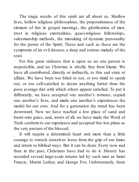The tragic results of this spirit are all about us. Shallow lives, hollow religious philosophies, the preponderance of the element of fun in gospel meetings, the glorification of men, trust in religious externalities, quasi-religious fellowships, salesmanship methods, the mistaking of dynamic personality for the power of the Spirit: These and such as these are the symptoms of an evil disease, a deep and serious malady of the soul.

For this great sickness that is upon us no one person is responsible, and no Christian is wholly free from blame. We have all contributed, directly or indirectly, to this sad state of affairs. We have been too blind to see, or too timid to speak out, or too self-satisfied to desire anything better than the poor, average diet with which others appear satisfied. To put it differently, we have accepted one another's notions, copied one another's lives, and made one another's experiences the model for our own. And for a generation the trend has been downward. Now we have reached a low place of sand and burnt-wire grass, and, worst of all, we have made the Word of Truth conformto our experience and accepted this low plane as the very pasture of the blessed.

It will require a determined heart and more than a little courage to wrench ourselves loose from the grip of our times and return to biblical ways. But it can be done. Every now and then in the past, Christians have had to do it. History has recorded several large-scale returns led by such men as Saint Francis, Martin Luther, and George Fox. Unfortunately, there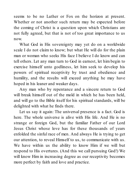seems to be no Luther or Fox on the horizon at present. Whether or not another such return may be expected before the coming of Christ is a question upon which Christians are not fully agreed, but that is not of too great importance to us now.

What God in His sovereignty may yet do on a worldwide scale I do not claim to know; but what He will do for the plain man or woman who seeks His face I believe I do know and can tell others. Let any man turn to God in earnest, let him begin to exercise himself unto godliness, let him seek to develop his powers of spiritual receptivity by trust and obedience and humility, and the results will exceed anything he may have hoped in his leaner and weaker days.

Any man who by repentance and a sincere return to God will break himself out of the mold in which he has been held. and will go to the Bible itself for his spiritual standards, will be delighted with what he finds there.

Let us say it again: The universal presence is a fact. God is here. The whole universe is alive with His life. And He is no strange or foreign God, but the familiar Father of our Lord Jesus Christ whose love has for these thousands of years enfolded the sinful race of men. And always He is trying to get our attention, to reveal Himself to us, to communicate with us. We have within us the ability to know Him if we will but respond to His overtures. (And this we call pursuing God!) We will know Him in increasing degree as our receptivity becomes more perfect by faith and love and practice.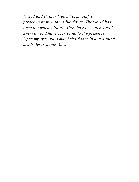*O God and Father, I repent of my sinful preoccupation with visible things. The world has been too much with me. Thou hast been here and I knew it not. I have been blind to thy presence. Open my eyes that I may behold thee in and around me. In Jesus'name, Amen.*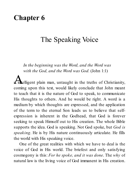### **Chapter 6**

# The Speaking Voice

*In the beginning was the Word, and the Word was with the God, and the Word was God.* (John 1:1)

A intelligent plain man, untaught in the truths of Christianity, coming upon this text, would likely conclude that John meant to teach that it is the nature of God to speak, to communicate His thoughts to others. And he would be right. A word is a medium by which thoughts are expressed, and the application of the term to the eternal Son leads us to believe that selfexpression is inherent in the Godhead, that God is forever seeking to speak Himself out to His creation. The whole Bible supports the idea. God is speaking. Not God spoke, but *God is speaking*. He is by His nature continuously articulate. He fills the world with His speaking voice.

One of the great realities with which we have to deal is the voice of God in His world. The briefest and only satisfying cosmogony is this: *For he spoke, and it was done*. The *why* of natural law is the living voice of God immanent in His creation.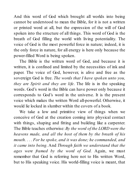And this word of God which brought all worlds into being cannot be understood to mean the Bible, for it is not a written or printed word at all, but the expression of the will of God spoken into the structure of all things. This word of God is the breath of God filling the world with living potentiality. The voice of God is the most powerful force in nature; indeed, it is the only force in nature, for all energy is here only because the power-filled Word is being spoken.

The Bible is the written word of God, and because it is written, it is confined and limited by the necessities of ink and paper. The voice of God, however, is alive and free as the sovereign God is free. *The words that I have spoken unto you, they are Spirit and they are life*. The life is in the speaking words. God's word in the Bible can have power only because it corresponds to God's word in the universe. It is the present voice which makes the written Word all-powerful. Otherwise, it would lie locked in slumber within the covers of a book.

We take a low and primitive view of things when we conceive of God at the creation coming into physical contact with things, shaping and fitting and building like a carpenter. The Bible teaches otherwise: *By the word of the LORD were the heavens made, and all the host of them by the breath of his mouth. . . . For he spoke, and it was done; he commanded, and it came into being*. And *Through faith we understand that the ages were framed by the word of God.* Again, we must remember that God is referring here not to His written Word, but to His speaking voice. His world-filling voice is meant, that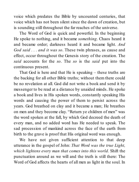voice which predates the Bible by uncounted centuries, that voice which has not been silent since the dawn of creation, but is sounding still throughout the far reaches of the universe.

The Word of God is quick and powerful. In the beginning He spoke to nothing, and it became *something*. Chaos heard it and became order; darkness heard it and became light. *And God said . . . and it was so*. These twin phrases, as cause and effect, occur throughout the Genesis story of the creation. The *said* accounts for the *so*. The *so* is the *said* put into the continuous present.

That God is here and that He is speaking – these truths are the backing for all other Bible truths; without them there could be no revelation at all. God did not write a book and send it by messenger to be read at a distance by unaided minds. He spoke a book and lives in His spoken words, constantly speaking His words and causing the power of them to persist across the years. God breathed on clay and it became a man; He breathes on men and they become clay. "Return ye children of men" was the word spoken at the fall, by which God decreed the death of every man, and no added word has He needed to speak. The sad procession of mankind across the face of the earth from birth to the grave is proof that His original word was enough.

We have not given sufficient attention to that deep utterance in the gospel of John: *That Word was the true Light, which lightens every man that comes into this world.* Shift the punctuation around as we will and the truth is still there: The Word of God affects the hearts of all men as light in the soul. In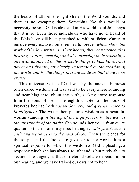the hearts of all men the light shines, the Word sounds, and there is no escaping them. Something like this would of necessity be so if God is alive and in His world. And John says that it is so. Even those individuals who have never heard of the Bible have still been preached to with sufficient clarity to remove every excuse from their hearts forever, *which show the work of the law written in their hearts, their conscience also bearing witness, accusing and also excusing their reasonings one with another*. *For the invisible things of him, his eternal power and divinity, are clearly understood by the creation of the world and by the things that are made so that there is no excuse.*

This universal voice of God was by the ancient Hebrews often called wisdom, and was said to be everywhere sounding and searching throughout the earth, seeking some response from the sons of men. The eighth chapter of the book of Proverbs begins: *Doth not wisdom cry, and give her voice to intelligence?* The writer then pictures wisdom as a beautiful woman standing *in the top of the high places, by the way at the crossroads of the paths*. She sounds her voice from every quarter so that no one may miss hearing it. *Unto you, O men, I call; and my voice is to the sons of men*. Then she pleads for the simple and the foolish to give ear to her words. It is a spiritual response for which this wisdom of God is pleading, a response which she has always sought and is but rarely able to secure. The tragedy is that our eternal welfare depends upon our hearing, and we have trained our ears not to hear.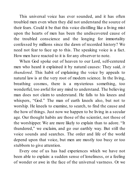This universal voice has ever sounded, and it has often troubled men even when they did not understand the source of their fears. Could it be that this voice distilling like a living mist upon the hearts of men has been the undiscovered cause of the troubled conscience and the longing for immortality confessed by millions since the dawn of recorded history? We need not fear to face up to this. The speaking voice is a fact. How men have reacted to it is for any observer to note.

When God spoke out of heaven to our Lord, self-centered men who heard it explained it by natural causes: They said, *it thundered*. This habit of explaining the voice by appeals to natural law is at the very root of modern science. In the living, breathing cosmos, there is a mysterious something, too wonderful, too awful for any mind to understand. The believing man does not claim to understand. He falls to his knees and whispers, "God." The man of earth kneels also, but not to worship. He kneels to examine, to search, to find the cause and the how of things. Just now we happen to be living in a secular age. Our thought habits are those of the scientist, not those of the worshipper. We are more likely to explain than to adore. "It thundered," we exclaim, and go our earthly way. But still the voice sounds and searches. The order and life of the world depend upon that voice, but men are mostly too busy or too stubborn to give attention.

Every one of us has had experiences which we have not been able to explain: a sudden sense of loneliness, or a feeling of wonder or awe in the face of the universal vastness. Or we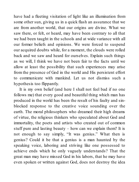have had a fleeting visitation of light like an illumination from some other sun, giving us in a quick flash an assurance that we are from another world, that our origins are divine. What we saw there, or felt, or heard, may have been contrary to all that we had been taught in the schools and at wide variance with all our former beliefs and opinions. We were forced to suspend our acquired doubts while, for a moment, the clouds were rolled back and we saw and heard for ourselves. Explain such things as we will, I think we have not been fair to the facts until we allow at least the possibility that such experiences may arise from the presence of God in the world and His persistent effort to communicate with mankind. Let us not dismiss such a hypothesis too flippantly.

It is my own belief (and here I shall not feel bad if no one follows me) that every good and beautiful thing which man has produced in the world has been the result of his faulty and sinblocked response to the creative voice sounding over the earth. The moral philosophers who dreamed their high dreams of virtue, the religious thinkers who speculated about God and immortality, the poets and artists who created out of common stuff pure and lasting beauty – how can we explain them? It is not enough to say simply, "It was genius." What then is genius? Could it be that a genius is a man haunted by the speaking voice, laboring and striving like one possessed to achieve ends which he only vaguely understands? That the great man may have missed God in his labors, that he may have even spoken or written against God, does not destroy the idea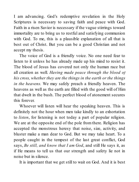I am advancing. God's redemptive revelation in the Holy Scriptures is necessary to saving faith and peace with God. Faith in a risen Savior is necessary if the vague stirrings toward immortality are to bring us to restful and satisfying communion with God. To me, this is a plausible explanation of all that is best out of Christ. But you can be a good Christian and not accept my thesis.

The voice of God is a friendly voice. No one need fear to listen to it unless he has already made up his mind to resist it. The blood of Jesus has covered not only the human race but all creation as well. *Having made peace through the blood of his cross, whether they are the things in the earth or the things in the heavens.* We may safely preach a friendly heaven. The heavens as well as the earth are filled with the good will of Him that dwelt in the bush. The perfect blood of atonement secures this forever.

Whoever will listen will hear the speaking heaven. This is definitely not the hour when men take kindly to an exhortation to *listen*, for listening is not today a part of popular religion. We are at the opposite end of the pole from there. Religion has accepted the monstrous heresy that noise, size, activity, and bluster make a man dear to God. But we may take heart. To a people caught in the tempest of the last great conflict, God says, *Be still, and know that I am God*, and still He says it, as if He means to tell us that our strength and safety lie not in noise but in silence.

It is important that we get still to wait on God. And it is best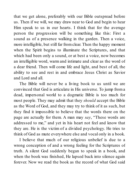that we get alone, preferably with our Bible outspread before us. Then if we will, we may draw near to God and begin to hear Him speak to us in our hearts. I think that for the average person the progression will be something like this: First a sound as of a presence walking in the garden. Then a voice, more intelligible, but still far fromclear. Then the happy moment when the Spirit begins to illuminate the Scriptures, and that which had been only a sound, or at best a voice, now becomes an intelligible word, warm and intimate and clear as the word of a dear friend. Then will come life and light, and best of all, the ability to see and rest in and embrace Jesus Christ as Savior and Lord and all.

The Bible will never be a living book to us until we are convinced that God is articulate in His universe. To jump froma dead, impersonal world to a dogmatic Bible is too much for most people. They may admit that they *should* accept the Bible as the Word of God, and they may try to think of it as such, but they find it impossible to believe that the words there on the page are actually for them. A man may *say*, "These words are addressed to me," and yet in his heart not feel and know that they are. He is the victim of a divided psychology. He tries to think of God as mute everywhere else and vocal only in a book.

I believe that much of our religious unbelief is due to a wrong conception of and a wrong feeling for the Scriptures of truth. A silent God suddenly began to speak in a book, and when the book was finished, He lapsed back into silence again forever. Now we read the book as the record of what God said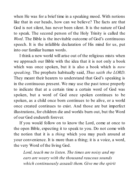when He was for a brief time in a speaking mood. With notions like that in our heads, how can we believe? The facts are that God is not silent, has never been silent. It is the nature of God to speak. The second person of the Holy Trinity is called the *Word*. The Bible is the inevitable outcome of God's continuous speech. It is the infallible declaration of His mind for us, put into our familiar human words.

I think a new world will arise out of the religious mists when we approach our Bible with the idea that it is not only a book which was once spoken, but it is also a book which is *now speaking*. The prophets habitually said, *Thus saith the LORD*. They meant their hearers to understand that God's speaking is in the continuous present. We may use the past tense properly to indicate that at a certain time a certain word of God was spoken, but a word of God once spoken continues to be spoken, as a child once born continues to be alive, or a world once created continues to exist. And those are but imperfect illustrations, for children die and worlds burn out, but the Word of our God endureth forever.

If you would follow on to know the Lord, come at once to the open Bible, expecting it to speak to you. Do not come with the notion that it is a *thing* which you may push around at your convenience. It is more than a thing; it is a voice, a word, the very Word of the living God.

*Lord, teach me to listen. The times are noisy and my ears are weary with the thousand raucous sounds which continuously assault them. Give me the spirit*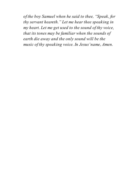*of the boy Samuel when he said to thee, "Speak, for thy servant heareth." Let me hear thee speaking in my heart. Let me get used to the sound of thy voice, that its tones may be familiar when the sounds of earth die away and the only sound will be the music of thy speaking voice. In Jesus'name, Amen.*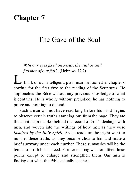## **Chapter 7**

### The Gaze of the Soul

*With our eyes fixed on Jesus, the author and finisher of our faith*. (Hebrews 12:2)

L et us think of our intelligent, plain man mentioned in chapter 6 coming for the first time to the reading of the Scriptures. He approaches the Bible without any previous knowledge of what it contains. He is wholly without prejudice; he has nothing to prove and nothing to defend.

Such a man will not have read long before his mind begins to observe certain truths standing out from the page. They are the spiritual principles behind the record of God's dealings with men, and woven into the writings of holy men as they were *inspired by the Holy Spirit*. As he reads on, he might want to number these truths as they become clear to him and make a brief summary under each number. These summaries will be the tenets of his biblical creed. Further reading will not affect these points except to enlarge and strengthen them. Our man is finding out what the Bible actually teaches.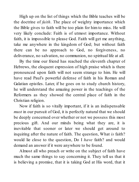High up on the list of things which the Bible teaches will be the doctrine of *faith*. The place of weighty importance which the Bible gives to faith will be too plain for him to miss. He will very likely conclude: Faith is of utmost importance. Without faith, it is impossible to please God. Faith will get me anything. take me anywhere in the kingdom of God; but without faith there can be no approach to God, no forgiveness, no deliverance, no salvation, no communion, no spiritual life at all.

By the time our friend has reached the eleventh chapter of Hebrews, the eloquent expression of high praise which is there pronounced upon faith will not seem strange to him. He will have read Paul's powerful defense of faith in his Roman and Galatian epistles. Later, if he goes on to study church history, he will understand the amazing power in the teachings of the Reformers as they showed the central place of faith in the Christian religion.

Now if faith is so vitally important, if it is an indispensable *must* in our pursuit of God, it is perfectly natural that we should be deeply concerned over whether or not we possess this most precious gift. And our minds being what they are, it is inevitable that sooner or later we should get around to inquiring after the nature of faith. The question, What *is* faith? would lie close to the question, Do I *have* faith? and would demand an answer if it were anywhere to be found.

Almost all who preach or write on the subject of faith have much the same things to say concerning it. They tell us that it is believing a promise, that it is taking God at His word, that it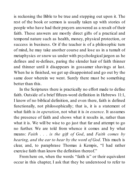is reckoning the Bible to be true and stepping out upon it. The rest of the book or sermon is usually taken up with stories of people who have had their prayers answered as a result of their faith. These answers are mostly direct gifts of a practical and temporal nature such as health, money, physical protection, or success in business. Or if the teacher is of a philosophic turn of mind, he may take another course and lose us in a tumult of metaphysics or snow us under with psychological jargon as he defines and re-defines, paring the slender hair of faith thinner and thinner until it disappears in gossamer shavings at last. When he is finished, we get up disappointed and go out by the same door wherein we went. Surely there must be something better than this.

In the Scriptures there is practically no effort made to define faith. Outside of a brief fifteen-word definition in Hebrews 11:1. I know of no biblical definition, and even there, faith is defined functionally, not philosophically; that is, it is a statement of what faith is *in operation*, not what it is *in essence*. It assumes the presence of faith and shows what it results in, rather than what it is. We will be wise to go just that far and attempt to go no further. We are told from whence it comes and by what means: *Faith . . . is the gift of God*, and *Faith comes by hearing, and the ear to hear by the word of God*. This much is clear, and, to paraphrase Thomas à Kempis, "I had rather exercise faith than know the definition thereof"

From here on, when the words "faith is" or their equivalent occur in this chapter, I ask that they be understood to refer to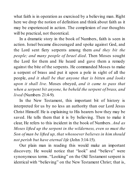what faith is in operation as exercised by a believing man. Right here we drop the notion of definition and think about faith as it may be experienced in action. The complexion of our thoughts will be practical, not theoretical.

In a dramatic story in the book of Numbers, faith is seen in action. Israel became discouraged and spoke against God, and the Lord sent fiery serpents among them *and they bit the people; and many people of Israel died*. Then Moses sought the Lord for them and He heard and gave them a remedy against the bite of the serpents. He commanded Moses to make a serpent of brass and put it upon a pole in sight of all the people, *and it shall be that anyone that is bitten and looks upon it shall live*. Moses obeyed, *and it came to pass that when a serpent bit anyone, he beheld the serpent of brass, and lived* (Numbers 21:4-9).

In the New Testament, this important bit of history is interpreted for us by no less an authority than our Lord Jesus Christ Himself. He is explaining to His hearers how they may be saved. He tells them that it is by believing. Then to make it clear, He refers to this incident in the book of Numbers. *And as Moses lifted up the serpent in the wilderness, even so must the Son of man be lifted up, that whosoever believes in him should not perish but have eternal life* (John 3:14-15).

Our plain man in reading this would make an important discovery. He would notice that "look" and "believe" were synonymous terms. "Looking" on the Old Testament serpent is identical with "believing" on the New Testament Christ; that is,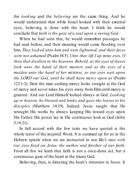the *looking* and the *believing* are the same thing. And he would understand that while Israel looked with their external eyes, believing is done with the heart. I think he would conclude that *faith is the gaze of a soul upon a saving God*.

When he had seen this, he would remember passages he had read before, and their meaning would come flooding over him. *They looked unto him and were lightened, and their faces were not ashamed* (Psalm34:5). *Unto thee lift I up mine eyes, O thou that dwellest in the heavens. Behold, as the eyes ofslaves look unto the hand of their masters and as the eyes of a maiden unto the hand of her mistress, so our eyes wait upon the LORD our God, until he shall have mercy upon us* (Psalm 123:1-2). Here the man seeking mercy looks straight at the God of mercy and never takes his eyes away fromHimuntil mercy is granted. And our Lord Himself looked always at God. *Looking up to heaven, he blessed and broke and gave the loaves to his disciples* (Matthew 14:19). Indeed, Jesus taught that He wrought His works by always keeping His inward eyes upon His Father. His power lay in His continuous look at God (John 5:19-21).

In full accord with the few texts we have quoted is the whole tenor of the inspired Word. It is summed up for us in the Hebrew epistle when we are instructed to run life's race *with our eyes fixed on Jesus, the author and finisher of our faith*. From all this we learn that faith is not a once-done act, but a continuous gaze of the heart at the triune God.

Believing, then, is directing the heart's attention to Jesus. It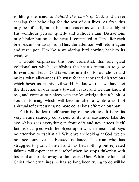is lifting the mind to *behold the Lamb of God,* and never ceasing that beholding for the rest of our lives. At first, this may be difficult, but it becomes easier as we look steadily at His wondrous person, quietly and without strain. Distractions may hinder, but once the heart is committed to Him, after each brief excursion away from Him, the attention will return again and rest upon Him like a wandering bird coming back to its window.

I would emphasize this one committal, this one great volitional act which establishes the heart's intention to gaze forever upon Jesus. God takes this intention for our choice and makes what allowances He must for the thousand distractions which beset us in this evil world. He knows that we have set the direction of our hearts toward Jesus, and we can know it too, and comfort ourselves with the knowledge that a habit of soul is forming which will become after a while a sort of spiritual reflex requiring no more conscious effort on our part.

Faith is the least self-regarding of the virtues. It is by its very nature scarcely conscious of its own existence. Like the eye which sees everything in front of it and never sees itself, faith is occupied with the object upon which it rests and pays no attention to itself at all. While we are looking at God, we do not see ourselves – blessed riddance. The man who has struggled to purify himself and has had nothing but repeated failures will experience real relief when he stops tinkering with his soul and looks away to the perfect One. While he looks at Christ, the very things he has so long been trying to do will be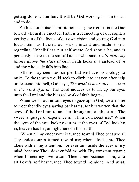getting done within him. It will be God working in him to will and to do.

Faith is not in itself a meritorious act; the merit is in the One toward whom it is directed. Faith is a redirecting of our sight, a getting out of the focus of our own vision and getting God into focus. Sin has twisted our vision inward and made it selfregarding. Unbelief has put self where God should be, and is perilously close to the sin of Lucifer who said, *I will exalt my throne above the stars of God*. Faith looks *out* instead of *in* and the whole life falls into line.

All this may seem too simple. But we have no apology to make. To those who would seek to climb into heaven after help or descend into hell, God says, *The word is near thee, . . . that is, the word of faith*. The word induces us to lift up our eyes unto the Lord and the blessed work of faith begins.

When we lift our inward eyes to gaze upon God, we are sure to meet friendly eyes gazing back at us, for it is written that the eyes of the Lord run to and fro throughout all the earth. The sweet language of experience is "Thou God seest me." When the eyes of the soul looking out meet the eyes of God looking in, heaven has begun right here on this earth.

"When all my endeavour is turned toward Thee because all Thy endeavour is turned toward me; when I look unto Thee alone with all my attention, nor ever turn aside the eyes of my mind, because Thou dost enfold me with Thy constant regard; when I direct my love toward Thee alone because Thou, who art Love's self hast turned Thee toward me alone. And what,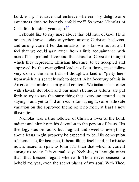Lord, is my life, save that embrace wherein Thy delightsome sweetness doth so lovingly enfold me?" So wrote Nicholas of Cusa four hundred years ago.<sup>[1]</sup>

I should like to say more about this old man of God. He is not much known today anywhere among Christian believers, and among current Fundamentalists he is known not at all. I feel that we could gain much from a little acquaintance with men of his spiritual flavor and the school of Christian thought which they represent. Christian literature, to be accepted and approved by the evangelical leaders of our times, must follow very closely the same train of thought, a kind of "party line" fromwhich it is scarcely safe to depart. A half-century of this in America has made us smug and content. We imitate each other with slavish devotion and our most strenuous efforts are put forth to try to say the same thing that everyone around us is saying – and yet to find an excuse for saying it, some little safe variation on the approved theme or, if no more, at least a new illustration.

Nicholas was a true follower of Christ, a lover of the Lord, radiant and shining in his devotion to the person of Jesus. His theology was orthodox, but fragrant and sweet as everything about Jesus might properly be expected to be. His conception of eternal life, for instance, is beautiful in itself, and, if I mistake not, is nearer in spirit to John 17:3 than that which is current among us today. Life eternal, says Nicholas, is "nought other than that blessed regard wherewith Thou never ceasest to behold me, yea, even the secret places of my soul. With Thee,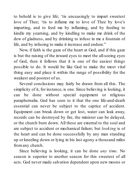to behold is to give life; 'tis unceasingly to impart sweetest love of Thee; 'tis to inflame me to love of Thee by love's imparting, and to feed me by inflaming, and by feeding to kindle my yearning, and by kindling to make me drink of the dew of gladness, and by drinking to infuse in me a fountain of life, and by infusing to make it increase and endure."

Now, if faith is the gaze of the heart at God, and if this gaze is but the raising of the inward eyes to meet the all-seeing eyes of God, then it follows that it is one of the easiest things possible to do. It would be like God to make the most vital thing easy and place it within the range of possibility for the weakest and poorest of us.

Several conclusions may fairly be drawn from all this. The simplicity of it, for instance, is one. Since believing is looking, it can be done without special equipment or religious paraphernalia. God has seen to it that the one life-and-death essential can never be subject to the caprice of accident. Equipment can break down or get lost, water can leak away, records can be destroyed by fire, the minister can be delayed, or the church burn down. All these are external to the soul and are subject to accident or mechanical failure; but *looking* is of the heart and can be done successfully by any man standing up or kneeling down or lying in his last agony a thousand miles fromany church.

Since believing is looking, it can be done *any time*. No season is superior to another season for this sweetest of all acts. God never made salvation dependent upon new moons or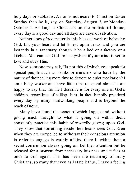holy days or Sabbaths. A man is not nearer to Christ on Easter Sunday than he is, say, on Saturday, August 3, or Monday, October 4. As long as Christ sits on the mediatorial throne, every day is a good day and all days are days of salvation.

Neither does *place* matter in this blessed work of believing God. Lift your heart and let it rest upon Jesus and you are instantly in a sanctuary, though it be a bed or a factory or a kitchen. You can see God from anywhere if your mind is set to love and obey Him.

Now, someone may ask, "Is not this of which you speak for special people such as monks or ministers who have by the nature of their calling more time to devote to quiet meditation? I am a busy worker and have little time to spend alone." I am happy to say that the life I describe is for every one of God's children, regardless of calling. It is, in fact, happily practiced every day by many hardworking people and is beyond the reach of none.

Many have found the secret of which I speak and, without giving much thought to what is going on within them, constantly practice this habit of inwardly gazing upon God. They know that something inside their hearts sees God. Even when they are compelled to withdraw their conscious attention in order to engage in earthly affairs, there is within them a secret communion always going on. Let their attention but be released for a moment from necessary business and it flies at once to God again. This has been the testimony of many Christians, so many that even as I state it thus, I have a feeling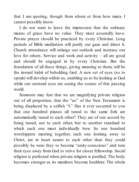that I am quoting, though from whom or from how many I cannot possibly know.

I do not want to leave the impression that the ordinary means of grace have no value. They most assuredly have. Private prayer should be practiced by every Christian. Long periods of Bible meditation will purify our gaze and direct it. Church attendance will enlarge our outlook and increase our love for others. Service and work and activity – all are good and should be engaged in by every Christian. But the foundation of all these things, giving meaning to them, will be the inward habit of beholding God. A new set of eyes (so to speak) will develop within us, enabling us to be looking at God while our outward eyes are seeing the scenes of this passing world.

Someone may fear that we are magnifying private religion out of all proportion, that the "us" of the New Testament is being displaced by a selfish "I." Has it ever occurred to you that one hundred pianos all tuned to the same fork are automatically tuned to each other? They are of one accord by being tuned, not to each other, but to another standard to which each one must individually bow. So one hundred worshippers meeting together, each one looking away to Christ, are in heart nearer to each other than they could possibly be were they to become "unity-conscious" and turn their eyes away from God to strive for closer fellowship. Social religion is perfected when private religion is purified. The body becomes stronger as its members become healthier. The whole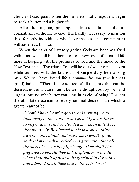church of God gains when the members that compose it begin to seek a better and a higher life.

All of the foregoing presupposes true repentance and a full commitment of the life to God. It is hardly necessary to mention this, for only individuals who have made such a commitment will have read this far.

When the habit of inwardly gazing Godward becomes fixed within us, we shall be ushered onto a new level of spiritual life more in keeping with the promises of God and the mood of the New Testament. The triune God will be our dwelling place even while our feet walk the low road of simple duty here among men. We will have found life's *summum bonum* (the highest good) indeed. "There is the source of all delights that can be desired; not only can nought better be thought out by men and angels, but nought better can exist in mode of being! For it is the absolute maximum of every rational desire, than which a greater cannot be."

*O Lord, I have heard a good word inviting me to look away to thee and be satisfied. My heart longs to respond, but sin has clouded my vision until I see thee but dimly. Be pleased to cleanse me in thine own precious blood, and make me inwardly pure, so that I may with unveiled eyes gaze upon thee all the days of my earthly pilgrimage. Then shall I be prepared to behold thee in full splendor in the day when thou shalt appear to be glorified in thy saints and admired in all them that believe. In Jesus'*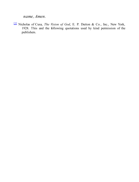*name, Amen.*

[1] Nicholas of Cusa, *The Vision of God*, E. P. Dutton & Co., Inc., New York, 1928. This and the following quotations used by kind permission of the publishers.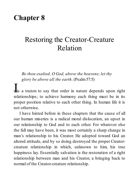# **Chapter 8**

# Restoring the Creator-Creature Relation

*Be thou exalted, O God, above the heavens; let thy glory be above all the earth*. (Psalm57:5)

**I** is a truism to say that order in nature depends upon right relationships; to achieve harmony each thing must be in its proper position relative to each other thing. In human life it is not otherwise.

I have hinted before in these chapters that the cause of all our human miseries is a radical moral dislocation, an upset in our relationship to God and to each other. For whatever else the fall may have been, it was most certainly a sharp change in man's relationship to his Creator. He adopted toward God an altered attitude, and by so doing destroyed the proper Creatorcreature relationship in which, unknown to him, his true happiness lay. Essentially salvation is the restoration of a right relationship between man and his Creator, a bringing back to normal of the Creator-creature relationship.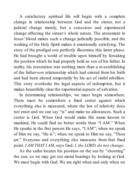A satisfactory spiritual life will begin with a complete change in relationship between God and the sinner, not a judicial change merely, but a conscious and experienced change affecting the sinner's whole nature. The atonement in Jesus' blood makes such a change judicially possible, and the working of the Holy Spirit makes it emotionally satisfying. The story of the prodigal son perfectly illustrates this latter phase. He had brought a world of trouble upon himself by forsaking the position which he had properly held as son of his father. In reality, his restoration was nothing more than a re-establishing of the father-son relationship which had existed from his birth and had been altered temporarily by his act of sinful rebellion. This story overlooks the legal aspects of redemption, but it makes beautifully clear the experiential aspects of salvation.

In determining relationships, we must begin somewhere. There must be somewhere a fixed center against which everything else is measured, where the law of relativity does not enter and we can say "is" and make no allowances. Such a center is God. When God would make His name known to mankind, He could find no better words than "I AM." When He speaks in the first person He says, "I AM"; when we speak of Him we say, "He is"; when we speak to Him we say, "Thou art." Everyone and everything else measures from that fixed point. *I AM THAT I AM*, says God. *I, the LORD, do not change*.

As the sailor locates his position on the sea by "shooting" the sun, so we may get our moral bearings by looking at God. We must begin with God. We are right when and only when we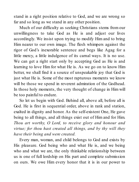stand in a right position relative to God, and we are wrong so far and so long as we stand in any other position.

Much of our difficulty as seeking Christians stems from our unwillingness to take God as He is and adjust our lives accordingly. We insist upon trying to modify Him and to bring Him nearer to our own image. The flesh whimpers against the rigor of God's inexorable sentence and begs like Agag for a little mercy, a little indulgence of its carnal ways. It is no use. We can get a right start only by accepting God as He is and learning to love Him for what He is. As we go on to know Him better, we shall find it a source of unspeakable joy that God is just what He is. Some of the most rapturous moments we know will be those we spend in reverent admiration of the Godhead. In those holy moments, the very thought of change in Him will be too painful to endure.

So let us begin with God. Behind all, above all, before all is God. He is first in sequential order, above in rank and station, exalted in dignity and honor. As the self-existent One, He gave being to all things, and all things exist out of Him and for Him. *Thou art worthy, O Lord, to receive glory and honour and virtue; for thou hast created all things, and by thy will they have their being and were created.*

Every man, woman, and child belongs to God and exists by His pleasure. God being who and what He is, and we being who and what we are, the only thinkable relationship between us is one of full lordship on His part and complete submission on ours. We owe Him every honor that it is in our power to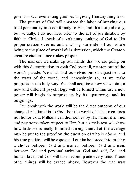give Him. Our everlasting grief lies in giving Himanything less.

The pursuit of God will embrace the labor of bringing our total personality into conformity to His, and this not judicially, but actually. I do not here refer to the act of justification by faith in Christ. I speak of a voluntary exalting of God to His proper station over us and a willing surrender of our whole being to the place of worshipful submission, which the Creatorcreature circumstance makes proper.

The moment we make up our minds that we are going on with this determination to exalt God over all, we step out of the world's parade. We shall find ourselves out of adjustment to the ways of the world, and increasingly so, as we make progress in the holy way. We shall acquire a new viewpoint; a new and different psychology will be formed within us; a new power will begin to surprise us by its upsurgings and its outgoings.

Our break with the world will be the direct outcome of our changed relationship to God. For the world of fallen men does not honor God. Millions call themselves by His name, it is true, and pay some token respect to Him, but a simple test will show how little He is really honored among them. Let the average man be put to the proof on the question of who is *above*, and his true position will be exposed. Let him be forced into making a choice between God and money, between God and men, between God and personal ambition, God and self, God and human love, and God will take second place every time. Those other things will be exalted above. However the man may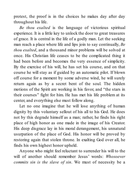protest, the proof is in the choices he makes day after day throughout his life.

*Be thou exalted* is the language of victorious spiritual experience. It is a little key to unlock the door to great treasures of grace. It is central in the life of a godly man. Let the seeking man reach a place where life and lips join to say continually, *Be thou exalted*, and a thousand minor problems will be solved at once. His Christian life ceases to be the complicated thing it had been before and becomes the very essence of simplicity. By the exercise of his will, he has set his course, and on that course he will stay as if guided by an automatic pilot. If blown off course for a moment by some adverse wind, he will surely return again as by a secret bent of the soul. The hidden motions of the Spirit are working in his favor, and "the stars in their courses" fight for him. He has met his life problem at its center, and everything else must follow along.

Let no one imagine that he will lose anything of human dignity by this voluntary sellout of his all to his God. He does not by this degrade himself as a man; rather, he finds his right place of high honor as one made in the image of his Creator. His deep disgrace lay in his moral derangement, his unnatural usurpation of the place of God. His honor will be proved by restoring again that stolen throne. In exalting God over all, he finds his own highest honor upheld.

Anyone who might feel reluctant to surrender his will to the will of another should remember Jesus' words: *Whosoever commits sin is the slave of sin*. We must of necessity be a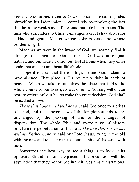servant to someone, either to God or to sin. The sinner prides himself on his independence, completely overlooking the fact that he is the weak slave of the sins that rule his members. The man who surrenders to Christ exchanges a cruelslave driver for a kind and gentle Master whose yoke is easy and whose burden is light.

Made as we were in the image of God, we scarcely find it strange to take again our God as our all. God was our original habitat, and our hearts cannot but feel at home when they enter again that ancient and beautiful abode.

I hope it is clear that there is logic behind God's claim to pre-eminence. That place is His by every right in earth or heaven. When we take to ourselves the place that is His, the whole course of our lives gets out of joint. Nothing will or can restore order until our hearts make the great decision: God shall be exalted above.

*Those that honor me I will honor*, said God once to a priest of Israel, and that ancient law of the kingdom stands today unchanged by the passing of time or the changes of dispensation. The whole Bible and every page of history proclaim the perpetuation of that law. *The one that serves me, will my Father honour*, said our Lord Jesus, tying in the old with the new and revealing the essential unity of His ways with men.

Sometimes the best way to see a thing is to look at its opposite. Eli and his sons are placed in the priesthood with the stipulation that they honor God in their lives and ministrations.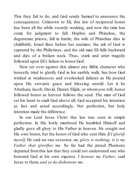This they fail to do, and God sends Samuel to announce the consequences. Unknown to Eli, this law of reciprocal honor has been all the while secretly working, and now the time has come for judgment to fall. Hophni and Phinehas, the degenerate priests, fall in battle; the wife of Phinehas dies in childbirth; Israel flees before her enemies; the ark of God is captured by the Philistines; and the old man Eli falls backward and dies of a broken neck. Thus, stark and utter tragedy followed upon Eli's failure to honor God.

Now set over against this almost any Bible character who honestly tried to glorify God in his earthly walk. See how God winked at weaknesses and overlooked failures as He poured upon His servants grace and blessing untold. Let it be Abraham, Jacob, David, Daniel, Elijah, or whom you will; honor followed honor as harvest follows the seed. The man of God set his heart to exalt God above all; God accepted his intention as fact and acted accordingly. Not perfection, but holy intention made the difference.

In our Lord Jesus Christ this law was seen in simple perfection. In His lowly manhood He humbled Himself and gladly gave all glory to His Father in heaven. He sought not His own honor, but the honor of God who sent Him. *If I glorify myself*, He said on one occasion, *my glory is nothing; it is my Father that glorifies me*. So far had the proud Pharisees departed fromthis law that they could not understand one who honored God at his own expense. *I honour my Father*, said Jesus to them, *and ye do dishonour me*.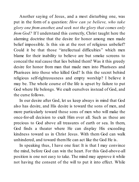Another saying of Jesus, and a most disturbing one, was put in the form of a question: *How can ye believe, who take glory one from another, and seek not the glory that comes only from God?* If I understand this correctly, Christ taught here the alarming doctrine that the desire for honor among men made belief impossible. Is this sin at the root of religious unbelief? Could it be that those "intellectual difficulties" which men blame for their inability to believe are but smoke screens to conceal the real cause that lies behind them? Was it this greedy desire for honor from man that made men into Pharisees and Pharisees into those who killed God? Is this the secret behind religious self-righteousness and empty worship? I believe it may be. The whole course of the life is upset by failure to put God where He belongs. We exalt ourselves instead of God, and the curse follows.

In our desire after God, let us keep always in mind that God also has desire, and His desire is toward the sons of men, and more particularly toward those sons of men who will make the once-for-all decision to exalt Him over all. Such as these are precious to God above all treasures of earth or sea. In them, God finds a theater where He can display His exceeding kindness toward us in Christ Jesus. With them God can walk unhindered, and toward themHe can act like the God He is.

In speaking thus, I have one fear: It is that I may convince the mind, before God can win the heart. For this God-above-all position is one not easy to take. The mind may approve it while not having the consent of the will to put it into effect. While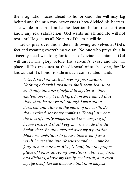the imagination races ahead to honor God, the will may lag behind and the man may never guess how divided his heart is. The whole man must make the decision before the heart can know any real satisfaction. God wants us all, and He will not rest until He gets us all. No part of the man will do.

Let us pray over this in detail, throwing ourselves at God's feet and meaning everything we say. No one who prays thus in sincerity need wait long for tokens of divine acceptance. God will unveil His glory before His servant's eyes, and He will place all His treasures at the disposal of such a one, for He knows that His honor is safe in such consecrated hands.

*O God, be thou exalted over my possessions. Nothing of earth's treasures shall seem dear unto me if only thou art glorified in my life. Be thou exalted over my friendships. I am determined that thou shalt be above all, though I must stand deserted and alone in the midst of the earth. Be thou exalted above my comforts. Though it mean the loss of bodily comforts and the carrying of heavy crosses, I shall keep my vow made this day before thee. Be thou exalted over my reputation. Make me ambitious to please thee even if as a result I must sink into obscurity and my name be forgotten as a dream. Rise, O Lord, into thy proper place of honor, above my ambitions, above my likes and dislikes, above my family, my health, and even my life itself. Let me decrease that thou mayest*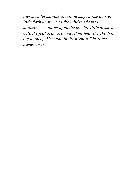*increase; let me sink that thou mayest rise above. Ride forth upon me as thou didst ride into Jerusalem mounted upon the humble little beast, a colt, the foal of an ass, and let me hear the children cry to thee, "Hosanna in the highest." In Jesus' name, Amen.*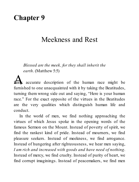## **Chapter 9**

### Meekness and Rest

*Blessed are the meek, for they shall inherit the earth*. (Matthew 5:5)

A fairly accurate description of the human race might be furnished to one unacquainted with it by taking the Beatitudes, turning them wrong side out and saying, "Here is your human race." For the exact opposite of the virtues in the Beatitudes are the very qualities which distinguish human life and conduct.

In the world of men, we find nothing approaching the virtues of which Jesus spoke in the opening words of the famous Sermon on the Mount. Instead of poverty of spirit, we find the rankest kind of pride. Instead of mourners, we find pleasure seekers. Instead of meekness, we find arrogance. Instead of hungering after righteousness, we hear men saying, *I am rich and increased with goods and have need of nothing*. Instead of mercy, we find cruelty. Instead of purity of heart, we find corrupt imaginings. Instead of peacemakers, we find men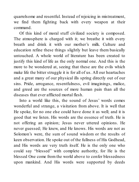quarrelsome and resentful. Instead of rejoicing in mistreatment, we find them fighting back with every weapon at their command.

Of this kind of moral stuff civilized society is composed. The atmosphere is charged with it; we breathe it with every breath and drink it with our mother's milk. Culture and education refine these things slightly but leave them basically untouched. A whole world of literature has been created to justify this kind of life as the only normal one. And this is the more to be wondered at, seeing that these are the evils which make life the bitter struggle it is for all of us. All our heartaches and a great many of our physical ills spring directly out of our sins. Pride, arrogance, resentfulness, evil imaginings, malice, and greed are the sources of more human pain than all the diseases that ever afflicted mortal flesh.

Into a world like this, the sound of Jesus' words comes wonderful and strange, a visitation from above. It is well that He spoke, for no one else could have done it as well; and it is good that we listen. His words are the essence of truth. He is not offering an opinion; Jesus never uttered opinions. He never guessed; He knew, and He knows. His words are not as Solomon's were, the sum of sound wisdom or the results of keen observation. He spoke out of the fullness of His Godhead, and His words are very truth itself. He is the only one who could say "blessed" with complete authority, for He is the blessed One come from the world above to confer blessedness upon mankind. And His words were supported by deeds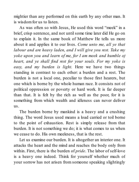mightier than any performed on this earth by any other man. It is wisdomfor us to listen.

As was often so with Jesus, He used this word "meek" in a brief, crisp sentence, and not until some time later did He go on to explain it. In the same book of Matthew He tells us more about it and applies it to our lives. *Come unto me, all ye that labour and are heavy laden, and I will give you rest. Take my yoke upon you and learn of me, for I am meek and humble of heart, and ye shall find rest for your souls. For my yoke is easy, and my burden is light.* Here we have two things standing in contrast to each other: a burden and a rest. The burden is not a local one, peculiar to those first hearers, but one which is borne by the whole human race. It consists not of political oppression or poverty or hard work. It is far deeper than that. It is felt by the rich as well as the poor, for it is something from which wealth and idleness can never deliver us.

The burden borne by mankind is a heavy and a crushing thing. The word Jesus used means a load carried or toil borne to the point of exhaustion. Rest is simply release from that burden. It is not something we do; it is what comes to us when we cease to do. His own meekness, that is the rest.

Let us examine our burden. It is altogether an interior one. It attacks the heart and the mind and reaches the body only from within. First, there is the burden of *pride*. The labor of self-love is a heavy one indeed. Think for yourself whether much of your sorrow has not arisen from someone speaking slightingly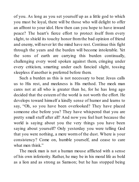of you. As long as you set yourself up as a little god to which you must be loyal, there will be those who will delight to offer an affront to your idol. How then can you hope to have inward peace? The heart's fierce effort to protect itself from every slight, to shield its touchy honor fromthe bad opinion of friend and enemy, will never let the mind have rest. Continue this fight through the years and the burden will become intolerable. Yet the sons of earth are carrying this burden continually, challenging every word spoken against them, cringing under every criticism, smarting under each fancied slight, tossing sleepless if another is preferred before them.

Such a burden as this is not necessary to bear. Jesus calls us to His rest, and meekness is His method. The meek man cares not at all who is greater than he, for he has long ago decided that the esteem of the world is not worth the effort. He develops toward himself a kindly sense of humor and learns to say, "Oh, so you have been overlooked? They have placed someone else before you? They have whispered that you are pretty small stuff after all? And now you feel hurt because the world is saying about you the very things you have been saying about yourself? Only yesterday you were telling God that you were nothing, a mere worm of the dust. Where is your consistency? Come on, humble yourself, and cease to care what men think."

The meek man is not a human mouse afflicted with a sense of his own inferiority. Rather, he may be in his moral life as bold as a lion and as strong as Samson; but he has stopped being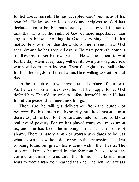fooled about himself. He has accepted God's estimate of his own life. He knows he is as weak and helpless as God has declared him to be, but paradoxically, he knows at the same time that he is in the sight of God of more importance than angels. In himself, nothing; in God, everything. That is his motto. He knows well that the world will never see him as God sees him and he has stopped caring. He rests perfectly content to allow God to set His own values. He will be patient to wait for the day when everything will get its own price tag and real worth will come into its own. Then the righteous shall shine forth in the kingdomof their Father. He is willing to wait for that day.

In the meantime, he will have attained a place of soul rest. As he walks on in meekness, he will be happy to let God defend him. The old struggle to defend himself is over. He has found the peace which meekness brings.

Then also he will get deliverance from the burden of *pretense*. By this I mean not hypocrisy, but the common human desire to put the best foot forward and hide from the world our real inward poverty. For sin has played many evil tricks upon us, and one has been the infusing into us a false sense of shame. There is hardly a man or woman who dares to be just what he or she is without doctoring up the impression. The fear of being found out gnaws like rodents within their hearts. The man of culture is haunted by the fear that he will someday come upon a man more cultured than himself. The learned man fears to meet a man more learned than he. The rich man sweats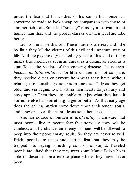under the fear that his clothes or his car or his house will sometime be made to look cheap by comparison with those of another rich man. So-called "society" runs by a motivation not higher than this, and the poorer classes on their level are little better.

Let no one smile this off. These burdens are real, and little by little they kill the victims of this evil and unnatural way of life. And the psychology created by years of this kind of thing makes true meekness seem as unreal as a dream, as aloof as a star. To all the victims of the gnawing disease, Jesus says, *become as little children*. For little children do not compare; they receive direct enjoyment from what they have without relating it to something else or someone else. Only as they get older and sin begins to stir within their hearts do jealousy and envy appear. Then they are unable to enjoy what they have if someone else has something larger or better. At that early age does the galling burden come down upon their tender souls, and it never leaves them until Jesus sets them free.

Another source of burden is *artificiality*. I am sure that most people live in secret fear that someday they will be careless, and by chance, an enemy or friend will be allowed to peep into their poor, empty souls. So they are never relaxed. Bright people are tense and alert in fear that they may be trapped into saying something common or stupid. Traveled people are afraid that they may meet some Marco Polo who is able to describe some remote place where they have never been.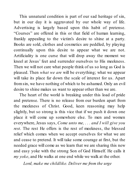This unnatural condition is part of our sad heritage of sin, but in our day it is aggravated by our whole way of life. Advertising is largely based upon this habit of pretense. "Courses" are offered in this or that field of human learning, frankly appealing to the victim's desire to shine at a party. Books are sold, clothes and cosmetics are peddled, by playing continually upon this desire to appear what we are not. Artificiality is one curse that will drop away the moment we kneel at Jesus' feet and surrender ourselves to His meekness. Then we will not care what people think of us so long as God is pleased. Then *what we are* will be everything; what we appear will take its place far down the scale of interest for us. Apart fromsin, we have nothing of which to be ashamed. Only an evil desire to shine makes us want to appear other than we are.

The heart of the world is breaking under this load of pride and pretense. There is no release from our burden apart from the meekness of Christ. Good, keen reasoning may help slightly, but so strong is this vice that if we push it down one place it will come up somewhere else. To men and women everywhere, Jesus says, *Come unto me, . . . and I will give you rest*. The rest He offers is the rest of meekness, the blessed relief which comes when we accept ourselves for what we are and cease to pretend. It will take some courage at first, but the needed grace will come as we learn that we are sharing this new and easy yoke with the strong Son of God Himself. He calls it *my yoke*, and He walks at one end while we walk at the other.

*Lord, make me childlike. Deliver me from the urge*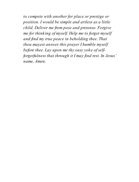*to compete with another for place or prestige or position. I would be simple and artless as a little child. Deliver me from pose and pretense. Forgive me for thinking of myself. Help me to forget myself and find my true peace in beholding thee. That thou mayest answer this prayer I humble myself before thee. Lay upon me thy easy yoke ofselfforgetfulness that through it I may find rest. In Jesus' name, Amen.*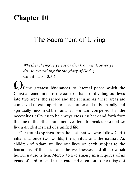### **Chapter 10**

#### The Sacrament of Living

*Whether therefore ye eat or drink or whatsoever ye do, do everything for the glory of God*. (1 Corinthians 10:31)

**O**f the greatest hindrances to internal peace which the Christian encounters is the common habit of dividing our lives into two areas, the sacred and the secular. As these areas are conceived to exist apart from each other and to be morally and spiritually incompatible, and as we are compelled by the necessities of living to be always crossing back and forth from the one to the other, our inner lives tend to break up so that we live a divided instead of a unified life.

Our trouble springs from the fact that we who follow Christ inhabit at once two worlds, the spiritual and the natural. As children of Adam, we live our lives on earth subject to the limitations of the flesh and the weaknesses and ills to which human nature is heir. Merely to live among men requires of us years of hard toil and much care and attention to the things of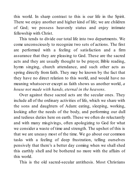this world. In sharp contrast to this is our life in the Spirit. There we enjoy another and higher kind of life; we are children of God; we possess heavenly status and enjoy intimate fellowship with Christ.

This tends to divide our total life into two departments. We come unconsciously to recognize two sets of actions. The first are performed with a feeling of satisfaction and a firm assurance that they are pleasing to God. These are the sacred acts and they are usually thought to be prayer, Bible reading, hymn singing, church attendance, and such other acts as spring directly from faith. They may be known by the fact that they have no direct relation to this world, and would have no meaning whatsoever except as faith shows us another world, *a house not made with hands, eternal in the heavens*.

Over against these sacred acts are the secular ones. They include all of the ordinary activities of life, which we share with the sons and daughters of Adam: eating, sleeping, working, looking after the needs of the body, and performing our dull and tedious duties here on earth. These we often do reluctantly and with many misgivings, often apologizing to God for what we consider a waste of time and strength. The upshot of this is that we are uneasy most of the time. We go about our common tasks with a feeling of deep frustration, telling ourselves pensively that there's a better day coming when we shall shed this earthly shell and be bothered no more with the affairs of this world.

This is the old sacred-secular antithesis. Most Christians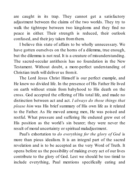are caught in its trap. They cannot get a satisfactory adjustment between the claims of the two worlds. They try to walk the tightrope between two kingdoms and they find no peace in either. Their strength is reduced, their outlook confused, and their joy taken fromthem.

I believe this state of affairs to be wholly unnecessary. We have gotten ourselves on the horns of a dilemma, true enough, but the dilemma is not real. It is a creature of misunderstanding. The sacred-secular antithesis has no foundation in the New Testament. Without doubt, a more-perfect understanding of Christian truth will deliver us fromit.

The Lord Jesus Christ Himself is our perfect example, and He knew no divided life. In the presence of His Father He lived on earth without strain from babyhood to His death on the cross. God accepted the offering of His total life, and made no distinction between act and act. *I always do those things that please him* was His brief summary of His own life as it related to the Father. As He moved among men, He was poised and restful. What pressure and suffering He endured grew out of His position as the world's sin bearer; they were never the result of moral uncertainty or spiritual maladjustment.

Paul's exhortation to *do everything for the glory of God* is more than pious idealism. It is an integral part of the sacred revelation and is to be accepted as the very Word of Truth. It opens before us the possibility of making every act of our lives contribute to the glory of God. Lest we should be too timid to include everything, Paul mentions specifically eating and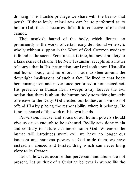drinking. This humble privilege we share with the beasts that perish. If these lowly animal acts can be so performed as to honor God, then it becomes difficult to conceive of one that cannot.

That monkish hatred of the body, which figures so prominently in the works of certain early devotional writers, is wholly without support in the Word of God. Common modesty is found in the sacred Scriptures, it is true, but never prudery or a false sense of shame. The New Testament accepts as a matter of course that in His incarnation our Lord took upon Himself a real human body, and no effort is made to steer around the downright implications of such a fact. He lived in that body here among men and never once performed a non-sacred act. His presence in human flesh sweeps away forever the evil notion that there is about the human body something innately offensive to the Deity. God created our bodies, and we do not offend Him by placing the responsibility where it belongs. He is not ashamed of the work of His own hands.

Perversion, misuse, and abuse of our human powers should give us cause enough to be ashamed. Bodily acts done in sin and contrary to nature can never honor God. Wherever the human will introduces moral evil, we have no longer our innocent and harmless powers as God made them; we have instead an abused and twisted thing which can never bring glory to its Creator.

Let us, however, assume that perversion and abuse are not present. Let us think of a Christian believer in whose life the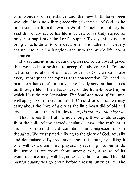twin wonders of repentance and the new birth have been wrought. He is now living according to the will of God, as he understands it from the written Word. Of such a one it may be said that every act of his life is or can be as truly sacred as prayer or baptism or the Lord's Supper. To say this is not to bring all acts down to one dead level; it is rather to lift every act up into a living kingdom and turn the whole life into a sacrament.

If a sacrament is an external expression of an inward grace, then we need not hesitate to accept the above thesis. By one act of consecration of our total selves to God, we can make every subsequent act express that consecration. We need no more be ashamed of our body – the fleshly servant that carries us through life – than Jesus was of the humble beast upon which He rode into Jerusalem. *The Lord has need of him* may well apply to our mortal bodies. If Christ dwells in us, we may carry about the Lord of glory as the little beast did of old and give occasion to the multitudes to cry, *Hosanna in the highest*.

That we *see* this truth is not enough. If we would escape from the toils of the sacred-secular dilemma, the truth must "run in our blood" and condition the complexion of our thoughts. We must practice living to the glory of God, actually and determinedly. By meditation upon this truth, by talking it over with God often in our prayers, by recalling it to our minds frequently as we move about among men, a *sense* of its wondrous meaning will begin to take hold of us. The old painful duality will go down before a restful unity of life. The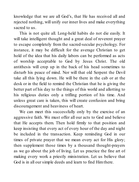knowledge that we are all God's, that He has received all and rejected nothing, will unify our inner lives and make everything sacred to us.

This is not quite all. Long-held habits do not die easily. It will take intelligent thought and a great deal of reverent prayer to escape completely from the sacred-secular psychology. For instance, it may be difficult for the average Christian to get hold of the idea that his daily labors can be performed as acts of worship acceptable to God by Jesus Christ. The old antithesis will crop up in the back of his head sometimes to disturb his peace of mind. Nor will that old Serpent the Devil take all this lying down. He will be there in the cab or at the desk or in the field to remind the Christian that he is giving the better part of his day to the things of this world and allotting to his religious duties only a trifling portion of his time. And unless great care is taken, this will create confusion and bring discouragement and heaviness of heart.

We can meet this successfully only by the exercise of an aggressive faith. We must offer all our acts to God and believe that He accepts them. Then hold firmly to that position and keep insisting that every act of every hour of the day and night be included in the transaction. Keep reminding God in our times of private prayer that we mean every act for His glory; then supplement those times by a thousand thought-prayers as we go about the job of living. Let us practice the fine art of making every work a priestly ministration. Let us believe that God is in all our simple deeds and learn to find Himthere.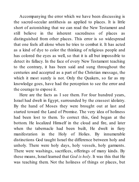Accompanying the error which we have been discussing is the sacred-secular antithesis as applied to places. It is little short of astonishing that we can read the New Testament and still believe in the inherent sacredness of places as distinguished from other places. This error is so widespread that one feels all alone when he tries to combat it. It has acted as a kind of dye to color the thinking of religious people and has colored the eyes as well, so that it is all but impossible to detect its fallacy. In the face of every New Testament teaching to the contrary, it has been said and sung throughout the centuries and accepted as a part of the Christian message, the which it most surely is not. Only the Quakers, so far as my knowledge goes, have had the perception to see the error and the courage to expose it.

Here are the facts as I see them. For four hundred years, Israel had dwelt in Egypt, surrounded by the crassest idolatry. By the hand of Moses they were brought out at last and started toward the Land of Promise. The very idea of holiness had been lost to them. To correct this, God began at the bottom. He localized Himself in the cloud and fire, and later when the tabernacle had been built, He dwelt in fiery manifestation in the Holy of Holies. By innumerable distinctions God taught Israel the difference between holy and unholy. There were holy days, holy vessels, holy garments. There were washings, sacrifices, offerings of many kinds. By these means, Israel learned that *God is holy*. It was this that He was teaching them. Not the holiness of things or places, but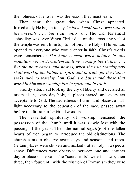the holiness of Jehovah was the lesson they must learn.

Then came the great day when Christ appeared. Immediately He began to say, *Ye have heard that it was said to the ancients* . . . *but I say unto you*. The Old Testament schooling was over. When Christ died on the cross, the veil of the temple was rent fromtop to bottom. The Holy of Holies was opened to everyone who would enter in faith. Christ's words were remembered: *The hour cometh when neither in this mountain nor in Jerusalem shall ye worship the Father. . . . But the hour comes, and now is, when the true worshippers shall worship the Father in spirit and in truth, for the Father seeks such to worship him. God is a Spirit and those that worship him must worship him in spirit and in truth.*

Shortly after, Paul took up the cry of liberty and declared all meats clean, every day holy, all places sacred, and every act acceptable to God. The sacredness of times and places, a halflight necessary to the education of the race, passed away before the full sun of spiritual worship.

The essential spirituality of worship remained the possession of the church until it was slowly lost with the passing of the years. Then the natural *legality* of the fallen hearts of men began to introduce the old distinctions. The church came to observe again days and seasons and times. Certain places were chosen and marked out as holy in a special sense. Differences were observed between one and another day or place or person. The "sacraments" were first two, then three, then four, until with the triumph of Romanism they were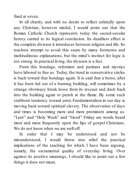fixed at seven.

In all charity, and with no desire to reflect unkindly upon any Christian, however misled, I would point out that the Roman Catholic Church represents today the sacred-secular heresy carried to its logical conclusion. Its deadliest effect is the complete division it introduces between religion and life. Its teachers attempt to avoid this snare by many footnotes and multitudinous explanations, but the mind's instinct for logic is too strong. In practical living, the division is a fact.

From this bondage, reformers and puritans and mystics have labored to free us. Today, the trend in conservative circles is back toward that bondage again. It is said that a horse, after it has been led out of a burning building, will sometimes by a strange obstinacy break loose from its rescuer and dash back into the building again to perish in the flame. By some such stubborn tendency toward error, Fundamentalism in our day is moving back toward spiritual slavery. The observation of days and times is becoming more and more prominent among us. "Lent" and "Holy Week" and "Good" Friday are words heard more and more frequently upon the lips of gospel Christians. We do not know when we are well off.

In order that I may be understood and not be misunderstood, I would throw into relief the practical implications of the teaching for which I have been arguing, namely, the sacramental quality of everyday living. Over against its positive meanings, I should like to point out a few things it does not mean.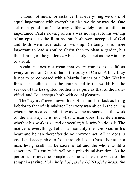It does not mean, for instance, that everything we do is of equal importance with everything else we do or may do. One act of a good man's life may differ widely from another in importance. Paul's sewing of tents was not equal to his writing of an epistle to the Romans, but both were accepted of God and both were true acts of worship. Certainly it is more important to lead a soul to Christ than to plant a garden, but the planting of the garden *can* be as holy an act as the winning of a soul.

Again, it does not mean that every man is as useful as every other man. Gifts differ in the body of Christ. A Billy Bray is not to be compared with a Martin Luther or a John Wesley for sheer usefulness to the church and to the world; but the service of the less-gifted brother is as pure as that of the moregifted, and God accepts both with equal pleasure.

The "layman" need never think of his humbler task as being inferior to that of his minister. Let every man abide in the calling wherein he is called, and his work will be as sacred as the work of the ministry. It is not what a man does that determines whether his work is sacred or secular; it is *why* he does it. The motive is everything. Let a man sanctify the Lord God in his heart and he can thereafter do no common act. All he does is good and acceptable to God through Jesus Christ. For such a man, living itself will be sacramental and the whole world a sanctuary. His entire life will be a priestly ministration. As he performs his never-so-simple task, he will hear the voice of the seraphimsaying, *Holy, holy, holy, is the LORD of the hosts; the*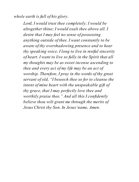*whole earth is full of his glory*.

*Lord, I would trust thee completely; I would be altogether thine; I would exalt thee above all. I desire that I may feel no sense of possessing anything outside of thee. I want constantly to be aware of thy overshadowing presence and to hear thy speaking voice. I long to live in restful sincerity of heart. I want to live so fully in the Spirit that all my thoughts may be as sweet incense ascending to thee and every act of my life may be an act of worship. Therefore, I pray in the words of thy great servant of old, "I beseech thee so for to cleanse the intent of mine heart with the unspeakable gift of thy grace, that I may perfectly love thee and worthily praise thee." And all this I confidently believe thou wilt grant me through the merits of Jesus Christ thy Son. In Jesus'name, Amen.*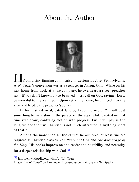#### About the Author



In from a tiny farming community in western La Jose, Pennsylvania, A.W. Tozer's conversion was as a teenager in Akron, Ohio. While on his way home from work at a tire company, he overheard a street preacher say "If you don't know how to be saved... just call on God, saying, 'Lord, be merciful to me a sinner.'" Upon returning home, he climbed into the attic and heeded the preacher's advice.

In his first editorial, dated June 3, 1950, he wrote, "It will cost something to walk slow in the parade of the ages, while excited men of time rush about, confusing motion with progress. But it will pay in the long run and the true Christian is not much interested in anything short of that."

Among the more than 40 books that he authored, at least two are regarded as Christian classics: *The Pursuit of God* and *The Knowledge of the Holy*. His books impress on the reader the possibility and necessity for a deeper relationship with God.<sup>[1]</sup>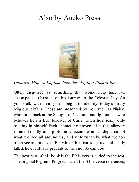#### Also by Aneko Press



*Updated, Modern English. Includes Original Illustrations.*

Often disguised as something that would help him, evil accompanies Christian on his journey to the Celestial City. As you walk with him, you'll begin to identify today's many religious pitfalls. These are presented by men such as Pliable, who turns back at the Slough of Despond; and Ignorance, who believes he's a true follower of Christ when he's really only trusting in himself. Each character represented in this allegory is intentionally and profoundly accurate in its depiction of what we see all around us, and unfortunately, what we too often see in ourselves. But while Christian is injured and nearly killed, he eventually prevails to the end. So can you.

The best part of this book is the Bible verses added to the text. The original Pilgrim's Progress listed the Bible verse references,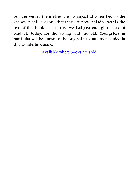but the verses themselves are so impactful when tied to the scenes in this allegory, that they are now included within the text of this book. The text is tweaked just enough to make it readable today, for the young and the old. Youngsters in particular will be drawn to the original illustrations included in this wonderful classic.

Available where books are sold.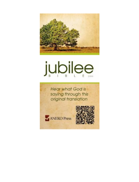

# jubilee

**Hear what God is** saying through this original translation



ANEKO Press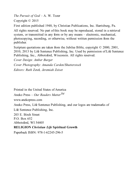*The Pursuit of God* – A. W. Tozer Copyright © 2015

First edition published 1948, by Christian Publications, Inc. Harrisburg, Pa.

All rights reserved. No part of this book may be reproduced, stored in a retrieval system, or transmitted in any form or by any means – electronic, mechanical, photocopying, recording, or otherwise, without written permission from the publisher.

Scripture quotations are taken from the Jubilee Bible, copyright  $\heartsuit$  2000, 2001, 2010, 2013 by Life Sentence Publishing, Inc. Used by permission of Life Sentence Publishing, Inc., Abbotsford, Wisconsin. All rights reserved.

*Cover Design: Amber Burger*

*Cover Photography: Amanda Carden/Shutterstock Editors: Ruth Zetek, Jeremiah Zeiset*

Printed in the United States of America Aneko Press – *Our Readers Matter TM* www.anekopress.com Aneko Press, Life Sentence Publishing, and our logos are trademarks of Life Sentence Publishing, Inc. 203 E. Birch Street P.O. Box 652 Abbotsford, WI 54405 **RELIGION** *Christian Life* **Spiritual Growth**

Paperback ISBN: 978-1-62245-296-5